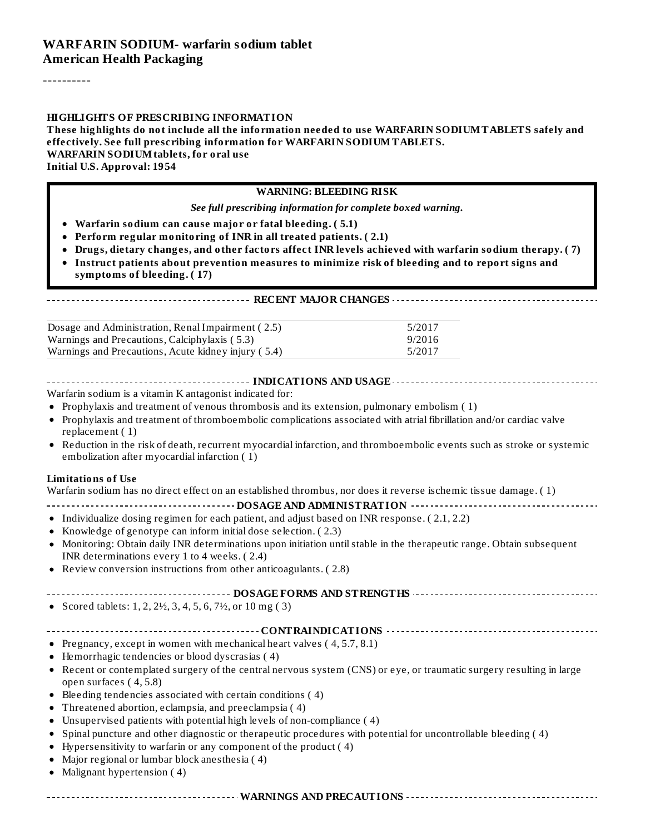----------

#### **HIGHLIGHTS OF PRESCRIBING INFORMATION**

**These highlights do not include all the information needed to use WARFARIN SODIUMTABLETS safely and effectively. See full prescribing information for WARFARIN SODIUMTABLETS. WARFARIN SODIUMtablets, for oral use Initial U.S. Approval: 1954**

#### **WARNING: BLEEDING RISK**

*See full prescribing information for complete boxed warning.*

- **Warfarin sodium can cause major or fatal bleeding. ( 5.1)**
- **Perform regular monitoring of INR in all treated patients. ( 2.1)**
- **Drugs, dietary changes, and other factors affect INR levels achieved with warfarin sodium therapy. ( 7)**
- **Instruct patients about prevention measures to minimize risk of bleeding and to report signs and symptoms of bleeding. ( 17)**

#### **RECENT MAJOR CHANGES**

| Dosage and Administration, Renal Impairment (2.5)   | 5/2017 |
|-----------------------------------------------------|--------|
| Warnings and Precautions, Calciphylaxis (5.3)       | 9/2016 |
| Warnings and Precautions, Acute kidney injury (5.4) | 5/2017 |

|--|

Warfarin sodium is a vitamin K antagonist indicated for:

- Prophylaxis and treatment of venous thrombosis and its extension, pulmonary embolism ( 1)
- Prophylaxis and treatment of thromboembolic complications associated with atrial fibrillation and/or cardiac valve replacement ( 1)
- Reduction in the risk of death, recurrent myocardial infarction, and thromboembolic events such as stroke or systemic  $\bullet$ embolization after myocardial infarction ( 1)

#### **Limitations of Use**

Warfarin sodium has no direct effect on an established thrombus, nor does it reverse ischemic tissue damage. ( 1)

- **DOSAGE AND ADMINISTRATION**
- Individualize dosing regimen for each patient, and adjust based on INR response. ( 2.1, 2.2)
- Knowledge of genotype can inform initial dose selection. ( 2.3)
- Monitoring: Obtain daily INR determinations upon initiation untilstable in the therapeutic range. Obtain subsequent  $\bullet$ INR determinations every 1 to 4 weeks. ( 2.4)
- Review conversion instructions from other anticoagulants. ( 2.8)  $\bullet$

#### **DOSAGE FORMS AND STRENGTHS**

• Scored tablets: 1, 2, 2 $\frac{1}{2}$ , 3, 4, 5, 6, 7 $\frac{1}{2}$ , or 10 mg (3)

#### **CONTRAINDICATIONS**

- Pregnancy, except in women with mechanical heart valves  $(4, 5.7, 8.1)$
- Hemorrhagic tendencies or blood dyscrasias ( 4)
- Recent or contemplated surgery of the central nervous system (CNS) or eye, or traumatic surgery resulting in large open surfaces ( 4, 5.8)
- Bleeding tendencies associated with certain conditions ( 4)
- Threatened abortion, eclampsia, and preeclampsia ( 4)
- Unsupervised patients with potential high levels of non-compliance ( 4)  $\bullet$
- Spinal puncture and other diagnostic or therapeutic procedures with potential for uncontrollable bleeding ( 4)  $\bullet$
- Hypersensitivity to warfarin or any component of the product ( 4)
- Major regional or lumbar block anesthesia ( 4)  $\bullet$
- Malignant hypertension ( 4)  $\bullet$

**WARNINGS AND PRECAUTIONS**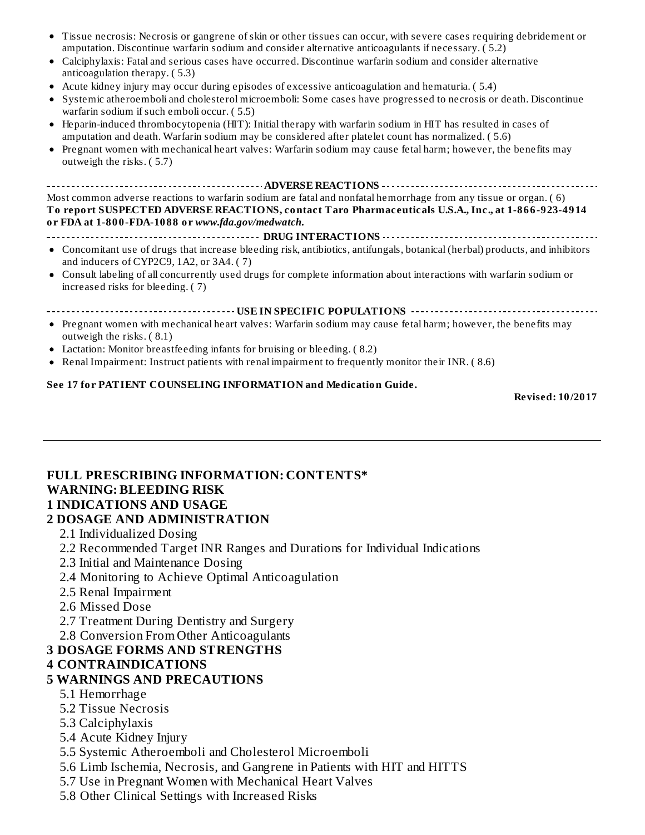amputation. Discontinue warfarin sodium and consider alternative anticoagulants if necessary. ( 5.2) Calciphylaxis: Fatal and serious cases have occurred. Discontinue warfarin sodium and consider alternative anticoagulation therapy. ( 5.3) Acute kidney injury may occur during episodes of excessive anticoagulation and hematuria. ( 5.4) Systemic atheroemboli and cholesterol microemboli: Some cases have progressed to necrosis or death. Discontinue warfarin sodium if such emboli occur. ( 5.5) Heparin-induced thrombocytopenia (HIT): Initial therapy with warfarin sodium in HIT has resulted in cases of amputation and death. Warfarin sodium may be considered after platelet count has normalized. ( 5.6) Pregnant women with mechanical heart valves: Warfarin sodium may cause fetal harm; however, the benefits may  $\bullet$ outweigh the risks. ( 5.7) **ADVERSE REACTIONS** Most common adverse reactions to warfarin sodium are fatal and nonfatal hemorrhage from any tissue or organ. ( 6) **To report SUSPECTED ADVERSE REACTIONS, contact Taro Pharmaceuticals U.S.A., Inc., at 1-866-923-4914 or FDA at 1-800-FDA-1088 or** *www.fda.gov/medwatch***. DRUG INTERACTIONS** Concomitant use of drugs that increase bleeding risk, antibiotics, antifungals, botanical (herbal) products, and inhibitors and inducers of CYP2C9, 1A2, or 3A4. ( 7) Consult labeling of all concurrently used drugs for complete information about interactions with warfarin sodium or increased risks for bleeding. ( 7) **USE IN SPECIFIC POPULATIONS** Pregnant women with mechanical heart valves: Warfarin sodium may cause fetal harm; however, the benefits may  $\bullet$ outweigh the risks. ( 8.1) Lactation: Monitor breastfeeding infants for bruising or bleeding. ( 8.2) Renal Impairment: Instruct patients with renal impairment to frequently monitor their INR. ( 8.6)

Tissue necrosis: Necrosis or gangrene of skin or other tissues can occur, with severe cases requiring debridement or

**See 17 for PATIENT COUNSELING INFORMATION and Medication Guide.**

**Revised: 10/2017**

#### **FULL PRESCRIBING INFORMATION: CONTENTS\* WARNING: BLEEDING RISK 1 INDICATIONS AND USAGE**

#### **2 DOSAGE AND ADMINISTRATION**

- 2.1 Individualized Dosing
- 2.2 Recommended Target INR Ranges and Durations for Individual Indications
- 2.3 Initial and Maintenance Dosing
- 2.4 Monitoring to Achieve Optimal Anticoagulation
- 2.5 Renal Impairment
- 2.6 Missed Dose
- 2.7 Treatment During Dentistry and Surgery
- 2.8 Conversion From Other Anticoagulants

# **3 DOSAGE FORMS AND STRENGTHS**

# **4 CONTRAINDICATIONS**

# **5 WARNINGS AND PRECAUTIONS**

- 5.1 Hemorrhage
- 5.2 Tissue Necrosis
- 5.3 Calciphylaxis
- 5.4 Acute Kidney Injury
- 5.5 Systemic Atheroemboli and Cholesterol Microemboli
- 5.6 Limb Ischemia, Necrosis, and Gangrene in Patients with HIT and HITTS
- 5.7 Use in Pregnant Women with Mechanical Heart Valves
- 5.8 Other Clinical Settings with Increased Risks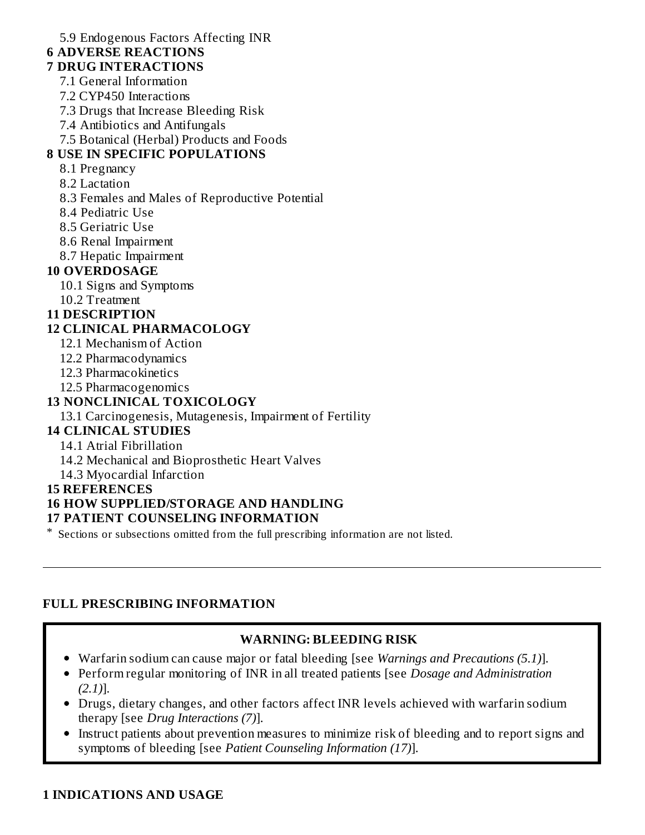5.9 Endogenous Factors Affecting INR

### **6 ADVERSE REACTIONS**

#### **7 DRUG INTERACTIONS**

- 7.1 General Information
- 7.2 CYP450 Interactions
- 7.3 Drugs that Increase Bleeding Risk
- 7.4 Antibiotics and Antifungals
- 7.5 Botanical (Herbal) Products and Foods

### **8 USE IN SPECIFIC POPULATIONS**

- 8.1 Pregnancy
- 8.2 Lactation
- 8.3 Females and Males of Reproductive Potential
- 8.4 Pediatric Use
- 8.5 Geriatric Use
- 8.6 Renal Impairment
- 8.7 Hepatic Impairment

### **10 OVERDOSAGE**

- 10.1 Signs and Symptoms
- 10.2 Treatment

#### **11 DESCRIPTION**

### **12 CLINICAL PHARMACOLOGY**

- 12.1 Mechanism of Action
- 12.2 Pharmacodynamics
- 12.3 Pharmacokinetics
- 12.5 Pharmacogenomics

### **13 NONCLINICAL TOXICOLOGY**

#### 13.1 Carcinogenesis, Mutagenesis, Impairment of Fertility

### **14 CLINICAL STUDIES**

#### 14.1 Atrial Fibrillation

- 14.2 Mechanical and Bioprosthetic Heart Valves
- 14.3 Myocardial Infarction

#### **15 REFERENCES**

## **16 HOW SUPPLIED/STORAGE AND HANDLING**

### **17 PATIENT COUNSELING INFORMATION**

\* Sections or subsections omitted from the full prescribing information are not listed.

### **FULL PRESCRIBING INFORMATION**

### **WARNING: BLEEDING RISK**

- Warfarin sodium can cause major or fatal bleeding [see *Warnings and Precautions (5.1)*].
- Perform regular monitoring of INR in all treated patients [see *Dosage and Administration (2.1)*].
- Drugs, dietary changes, and other factors affect INR levels achieved with warfarin sodium therapy [see *Drug Interactions (7)*].
- Instruct patients about prevention measures to minimize risk of bleeding and to report signs and  $\bullet$ symptoms of bleeding [see *Patient Counseling Information (17)*].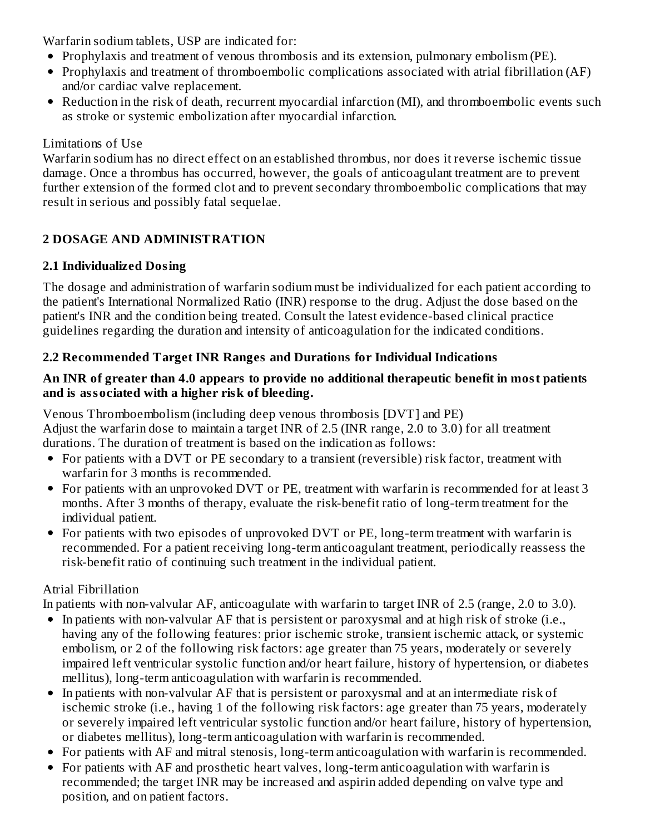Warfarin sodium tablets, USP are indicated for:

- Prophylaxis and treatment of venous thrombosis and its extension, pulmonary embolism (PE).
- Prophylaxis and treatment of thromboembolic complications associated with atrial fibrillation (AF) and/or cardiac valve replacement.
- Reduction in the risk of death, recurrent myocardial infarction (MI), and thromboembolic events such as stroke or systemic embolization after myocardial infarction.

#### Limitations of Use

Warfarin sodium has no direct effect on an established thrombus, nor does it reverse ischemic tissue damage. Once a thrombus has occurred, however, the goals of anticoagulant treatment are to prevent further extension of the formed clot and to prevent secondary thromboembolic complications that may result in serious and possibly fatal sequelae.

## **2 DOSAGE AND ADMINISTRATION**

### **2.1 Individualized Dosing**

The dosage and administration of warfarin sodium must be individualized for each patient according to the patient's International Normalized Ratio (INR) response to the drug. Adjust the dose based on the patient's INR and the condition being treated. Consult the latest evidence-based clinical practice guidelines regarding the duration and intensity of anticoagulation for the indicated conditions.

### **2.2 Recommended Target INR Ranges and Durations for Individual Indications**

#### **An INR of greater than 4.0 appears to provide no additional therapeutic benefit in most patients and is associated with a higher risk of bleeding.**

Venous Thromboembolism (including deep venous thrombosis [DVT] and PE) Adjust the warfarin dose to maintain a target INR of 2.5 (INR range, 2.0 to 3.0) for all treatment durations. The duration of treatment is based on the indication as follows:

- For patients with a DVT or PE secondary to a transient (reversible) risk factor, treatment with warfarin for 3 months is recommended.
- For patients with an unprovoked DVT or PE, treatment with warfarin is recommended for at least 3 months. After 3 months of therapy, evaluate the risk-benefit ratio of long-term treatment for the individual patient.
- For patients with two episodes of unprovoked DVT or PE, long-term treatment with warfarin is recommended. For a patient receiving long-term anticoagulant treatment, periodically reassess the risk-benefit ratio of continuing such treatment in the individual patient.

### Atrial Fibrillation

In patients with non-valvular AF, anticoagulate with warfarin to target INR of 2.5 (range, 2.0 to 3.0).

- In patients with non-valvular AF that is persistent or paroxysmal and at high risk of stroke (i.e., having any of the following features: prior ischemic stroke, transient ischemic attack, or systemic embolism, or 2 of the following risk factors: age greater than 75 years, moderately or severely impaired left ventricular systolic function and/or heart failure, history of hypertension, or diabetes mellitus), long-term anticoagulation with warfarin is recommended.
- In patients with non-valvular AF that is persistent or paroxysmal and at an intermediate risk of ischemic stroke (i.e., having 1 of the following risk factors: age greater than 75 years, moderately or severely impaired left ventricular systolic function and/or heart failure, history of hypertension, or diabetes mellitus), long-term anticoagulation with warfarin is recommended.
- For patients with AF and mitral stenosis, long-term anticoagulation with warfarin is recommended.
- For patients with AF and prosthetic heart valves, long-term anticoagulation with warfarin is recommended; the target INR may be increased and aspirin added depending on valve type and position, and on patient factors.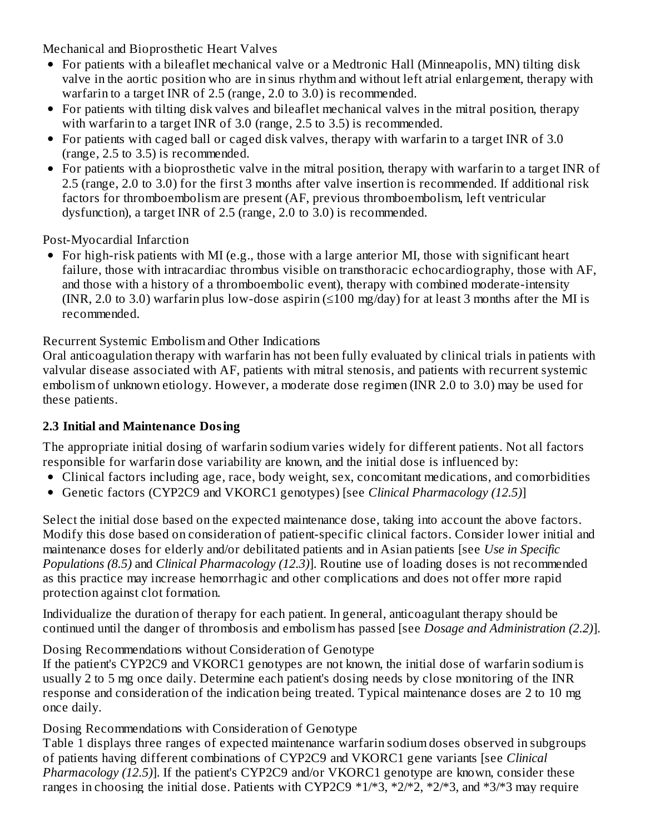Mechanical and Bioprosthetic Heart Valves

- For patients with a bileaflet mechanical valve or a Medtronic Hall (Minneapolis, MN) tilting disk valve in the aortic position who are in sinus rhythm and without left atrial enlargement, therapy with warfarin to a target INR of 2.5 (range, 2.0 to 3.0) is recommended.
- For patients with tilting disk valves and bileaflet mechanical valves in the mitral position, therapy with warfarin to a target INR of 3.0 (range, 2.5 to 3.5) is recommended.
- For patients with caged ball or caged disk valves, therapy with warfarin to a target INR of 3.0 (range, 2.5 to 3.5) is recommended.
- For patients with a bioprosthetic valve in the mitral position, therapy with warfarin to a target INR of 2.5 (range, 2.0 to 3.0) for the first 3 months after valve insertion is recommended. If additional risk factors for thromboembolism are present (AF, previous thromboembolism, left ventricular dysfunction), a target INR of 2.5 (range, 2.0 to 3.0) is recommended.

Post-Myocardial Infarction

For high-risk patients with MI (e.g., those with a large anterior MI, those with significant heart failure, those with intracardiac thrombus visible on transthoracic echocardiography, those with AF, and those with a history of a thromboembolic event), therapy with combined moderate-intensity (INR, 2.0 to 3.0) warfarin plus low-dose aspirin ( $\leq 100$  mg/day) for at least 3 months after the MI is recommended.

Recurrent Systemic Embolism and Other Indications

Oral anticoagulation therapy with warfarin has not been fully evaluated by clinical trials in patients with valvular disease associated with AF, patients with mitral stenosis, and patients with recurrent systemic embolism of unknown etiology. However, a moderate dose regimen (INR 2.0 to 3.0) may be used for these patients.

### **2.3 Initial and Maintenance Dosing**

The appropriate initial dosing of warfarin sodium varies widely for different patients. Not all factors responsible for warfarin dose variability are known, and the initial dose is influenced by:

- Clinical factors including age, race, body weight, sex, concomitant medications, and comorbidities
- Genetic factors (CYP2C9 and VKORC1 genotypes) [see *Clinical Pharmacology (12.5)*]

Select the initial dose based on the expected maintenance dose, taking into account the above factors. Modify this dose based on consideration of patient-specific clinical factors. Consider lower initial and maintenance doses for elderly and/or debilitated patients and in Asian patients [see *Use in Specific Populations (8.5)* and *Clinical Pharmacology (12.3)*]. Routine use of loading doses is not recommended as this practice may increase hemorrhagic and other complications and does not offer more rapid protection against clot formation.

Individualize the duration of therapy for each patient. In general, anticoagulant therapy should be continued until the danger of thrombosis and embolism has passed [see *Dosage and Administration (2.2)*].

Dosing Recommendations without Consideration of Genotype

If the patient's CYP2C9 and VKORC1 genotypes are not known, the initial dose of warfarin sodium is usually 2 to 5 mg once daily. Determine each patient's dosing needs by close monitoring of the INR response and consideration of the indication being treated. Typical maintenance doses are 2 to 10 mg once daily.

Dosing Recommendations with Consideration of Genotype

Table 1 displays three ranges of expected maintenance warfarin sodium doses observed in subgroups of patients having different combinations of CYP2C9 and VKORC1 gene variants [see *Clinical Pharmacology (12.5)*]. If the patient's CYP2C9 and/or VKORC1 genotype are known, consider these ranges in choosing the initial dose. Patients with CYP2C9  $*1/*3$ ,  $*2/*2$ ,  $*2/*3$ , and  $*3/*3$  may require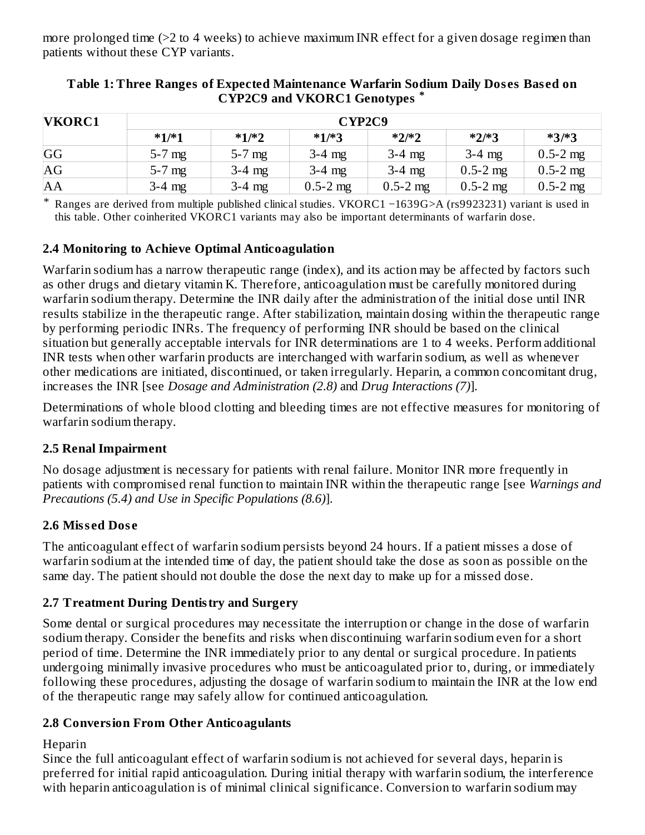more prolonged time (>2 to 4 weeks) to achieve maximum INR effect for a given dosage regimen than patients without these CYP variants.

| <b>VKORC1</b> | CYP2C9   |          |              |              |              |              |  |  |
|---------------|----------|----------|--------------|--------------|--------------|--------------|--|--|
|               | $*1/*1$  | $*1/*2$  | $*1/*3$      | $*2/*2$      | $*2/*3$      | $*3/*3$      |  |  |
| GG            | $5-7$ mg | $5-7$ mg | $3-4$ mg     | $3-4$ mg     | $3-4$ mg     | $0.5 - 2$ mg |  |  |
| AG            | $5-7$ mg | $3-4$ mg | $3-4$ mg     | $3-4$ mg     | $0.5 - 2$ mg | $0.5 - 2$ mg |  |  |
| AA            | $3-4$ mg | $3-4$ mg | $0.5 - 2$ mg | $0.5 - 2$ mg | $0.5 - 2$ mg | $0.5 - 2$ mg |  |  |

#### **Table 1: Three Ranges of Expected Maintenance Warfarin Sodium Daily Dos es Bas ed on CYP2C9 and VKORC1 Genotypes \***

\* Ranges are derived from multiple published clinical studies. VKORC1 −1639G>A (rs9923231) variant is used in this table. Other coinherited VKORC1 variants may also be important determinants of warfarin dose.

#### **2.4 Monitoring to Achieve Optimal Anticoagulation**

Warfarin sodium has a narrow therapeutic range (index), and its action may be affected by factors such as other drugs and dietary vitamin K. Therefore, anticoagulation must be carefully monitored during warfarin sodium therapy. Determine the INR daily after the administration of the initial dose until INR results stabilize in the therapeutic range. After stabilization, maintain dosing within the therapeutic range by performing periodic INRs. The frequency of performing INR should be based on the clinical situation but generally acceptable intervals for INR determinations are 1 to 4 weeks. Perform additional INR tests when other warfarin products are interchanged with warfarin sodium, as well as whenever other medications are initiated, discontinued, or taken irregularly. Heparin, a common concomitant drug, increases the INR [see *Dosage and Administration (2.8)* and *Drug Interactions (7)*].

Determinations of whole blood clotting and bleeding times are not effective measures for monitoring of warfarin sodium therapy.

### **2.5 Renal Impairment**

No dosage adjustment is necessary for patients with renal failure. Monitor INR more frequently in patients with compromised renal function to maintain INR within the therapeutic range [see *Warnings and Precautions (5.4) and Use in Specific Populations (8.6)*].

### **2.6 Miss ed Dos e**

The anticoagulant effect of warfarin sodium persists beyond 24 hours. If a patient misses a dose of warfarin sodium at the intended time of day, the patient should take the dose as soon as possible on the same day. The patient should not double the dose the next day to make up for a missed dose.

### **2.7 Treatment During Dentistry and Surgery**

Some dental or surgical procedures may necessitate the interruption or change in the dose of warfarin sodium therapy. Consider the benefits and risks when discontinuing warfarin sodium even for a short period of time. Determine the INR immediately prior to any dental or surgical procedure. In patients undergoing minimally invasive procedures who must be anticoagulated prior to, during, or immediately following these procedures, adjusting the dosage of warfarin sodium to maintain the INR at the low end of the therapeutic range may safely allow for continued anticoagulation.

### **2.8 Conversion From Other Anticoagulants**

#### Heparin

Since the full anticoagulant effect of warfarin sodium is not achieved for several days, heparin is preferred for initial rapid anticoagulation. During initial therapy with warfarin sodium, the interference with heparin anticoagulation is of minimal clinical significance. Conversion to warfarin sodium may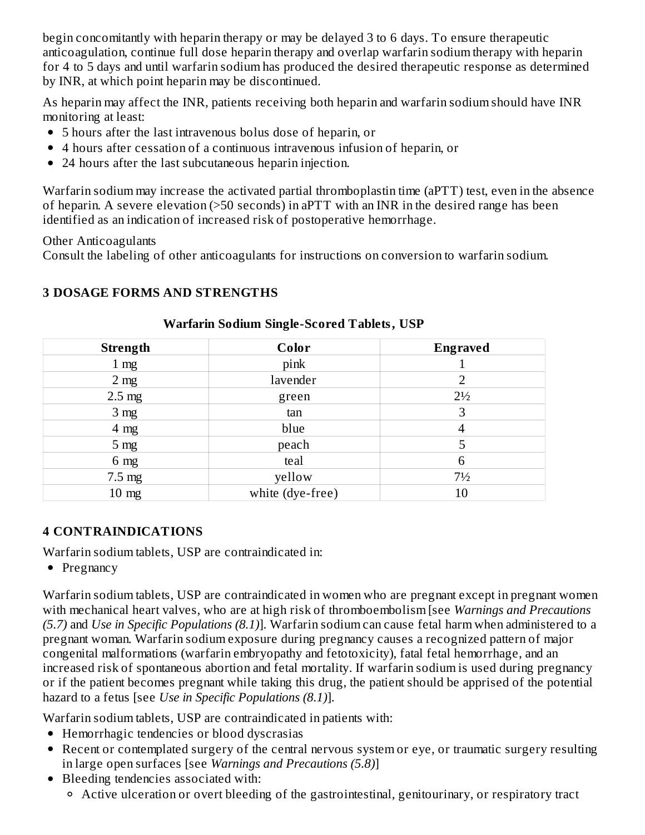begin concomitantly with heparin therapy or may be delayed 3 to 6 days. To ensure therapeutic anticoagulation, continue full dose heparin therapy and overlap warfarin sodium therapy with heparin for 4 to 5 days and until warfarin sodium has produced the desired therapeutic response as determined by INR, at which point heparin may be discontinued.

As heparin may affect the INR, patients receiving both heparin and warfarin sodium should have INR monitoring at least:

- 5 hours after the last intravenous bolus dose of heparin, or
- 4 hours after cessation of a continuous intravenous infusion of heparin, or
- 24 hours after the last subcutaneous heparin injection.

Warfarin sodium may increase the activated partial thromboplastin time (aPTT) test, even in the absence of heparin. A severe elevation (>50 seconds) in aPTT with an INR in the desired range has been identified as an indication of increased risk of postoperative hemorrhage.

Other Anticoagulants

Consult the labeling of other anticoagulants for instructions on conversion to warfarin sodium.

### **3 DOSAGE FORMS AND STRENGTHS**

| <b>Strength</b>  | Color            | <b>Engraved</b> |
|------------------|------------------|-----------------|
| 1 <sub>mg</sub>  | pink             |                 |
| 2 <sub>mg</sub>  | lavender         |                 |
| $2.5 \text{ mg}$ | green            | $2\frac{1}{2}$  |
| 3 <sub>mg</sub>  | tan              | 3               |
| $4 \text{ mg}$   | blue             | 4               |
| 5 <sub>mg</sub>  | peach            |                 |
| 6 <sub>mg</sub>  | teal             | 6               |
| $7.5 \text{ mg}$ | yellow           | $7\frac{1}{2}$  |
| $10 \text{ mg}$  | white (dye-free) | 10              |

#### **Warfarin Sodium Single-Scored Tablets, USP**

### **4 CONTRAINDICATIONS**

Warfarin sodium tablets, USP are contraindicated in:

 $\bullet$  Pregnancy

Warfarin sodium tablets, USP are contraindicated in women who are pregnant except in pregnant women with mechanical heart valves, who are at high risk of thromboembolism [see *Warnings and Precautions (5.7)* and *Use in Specific Populations (8.1)*]. Warfarin sodium can cause fetal harm when administered to a pregnant woman. Warfarin sodium exposure during pregnancy causes a recognized pattern of major congenital malformations (warfarin embryopathy and fetotoxicity), fatal fetal hemorrhage, and an increased risk of spontaneous abortion and fetal mortality. If warfarin sodium is used during pregnancy or if the patient becomes pregnant while taking this drug, the patient should be apprised of the potential hazard to a fetus [see *Use in Specific Populations (8.1)*].

Warfarin sodium tablets, USP are contraindicated in patients with:

- Hemorrhagic tendencies or blood dyscrasias
- Recent or contemplated surgery of the central nervous system or eye, or traumatic surgery resulting in large open surfaces [see *Warnings and Precautions (5.8)*]
- Bleeding tendencies associated with:
	- Active ulceration or overt bleeding of the gastrointestinal, genitourinary, or respiratory tract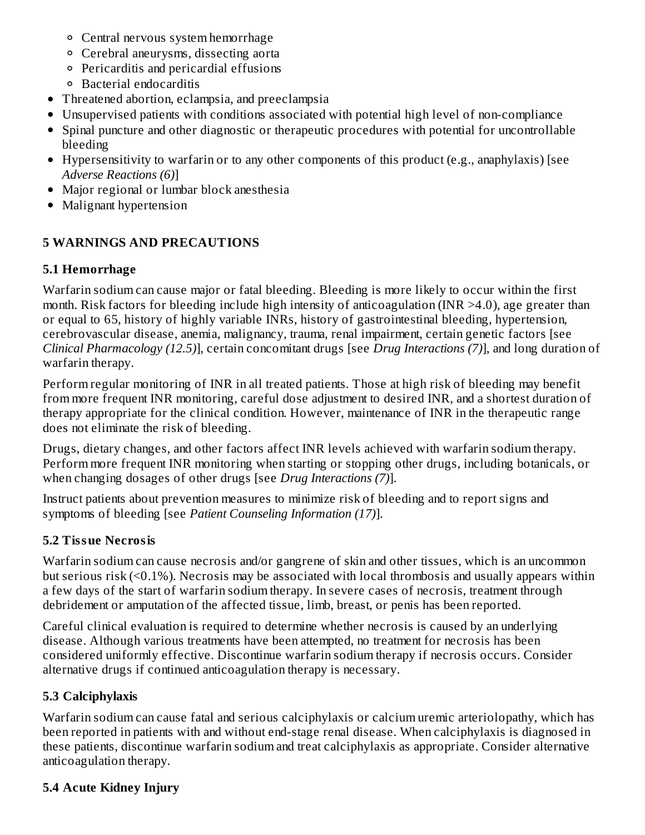- Central nervous system hemorrhage
- Cerebral aneurysms, dissecting aorta
- Pericarditis and pericardial effusions
- Bacterial endocarditis
- Threatened abortion, eclampsia, and preeclampsia
- Unsupervised patients with conditions associated with potential high level of non-compliance
- Spinal puncture and other diagnostic or therapeutic procedures with potential for uncontrollable bleeding
- Hypersensitivity to warfarin or to any other components of this product (e.g., anaphylaxis) [see *Adverse Reactions (6)*]
- Major regional or lumbar block anesthesia
- Malignant hypertension

## **5 WARNINGS AND PRECAUTIONS**

## **5.1 Hemorrhage**

Warfarin sodium can cause major or fatal bleeding. Bleeding is more likely to occur within the first month. Risk factors for bleeding include high intensity of anticoagulation (INR >4.0), age greater than or equal to 65, history of highly variable INRs, history of gastrointestinal bleeding, hypertension, cerebrovascular disease, anemia, malignancy, trauma, renal impairment, certain genetic factors [see *Clinical Pharmacology (12.5)*], certain concomitant drugs [see *Drug Interactions (7)*], and long duration of warfarin therapy.

Perform regular monitoring of INR in all treated patients. Those at high risk of bleeding may benefit from more frequent INR monitoring, careful dose adjustment to desired INR, and a shortest duration of therapy appropriate for the clinical condition. However, maintenance of INR in the therapeutic range does not eliminate the risk of bleeding.

Drugs, dietary changes, and other factors affect INR levels achieved with warfarin sodium therapy. Perform more frequent INR monitoring when starting or stopping other drugs, including botanicals, or when changing dosages of other drugs [see *Drug Interactions (7)*].

Instruct patients about prevention measures to minimize risk of bleeding and to report signs and symptoms of bleeding [see *Patient Counseling Information (17)*].

## **5.2 Tissue Necrosis**

Warfarin sodium can cause necrosis and/or gangrene of skin and other tissues, which is an uncommon but serious risk (<0.1%). Necrosis may be associated with local thrombosis and usually appears within a few days of the start of warfarin sodium therapy. In severe cases of necrosis, treatment through debridement or amputation of the affected tissue, limb, breast, or penis has been reported.

Careful clinical evaluation is required to determine whether necrosis is caused by an underlying disease. Although various treatments have been attempted, no treatment for necrosis has been considered uniformly effective. Discontinue warfarin sodium therapy if necrosis occurs. Consider alternative drugs if continued anticoagulation therapy is necessary.

## **5.3 Calciphylaxis**

Warfarin sodium can cause fatal and serious calciphylaxis or calcium uremic arteriolopathy, which has been reported in patients with and without end-stage renal disease. When calciphylaxis is diagnosed in these patients, discontinue warfarin sodium and treat calciphylaxis as appropriate. Consider alternative anticoagulation therapy.

# **5.4 Acute Kidney Injury**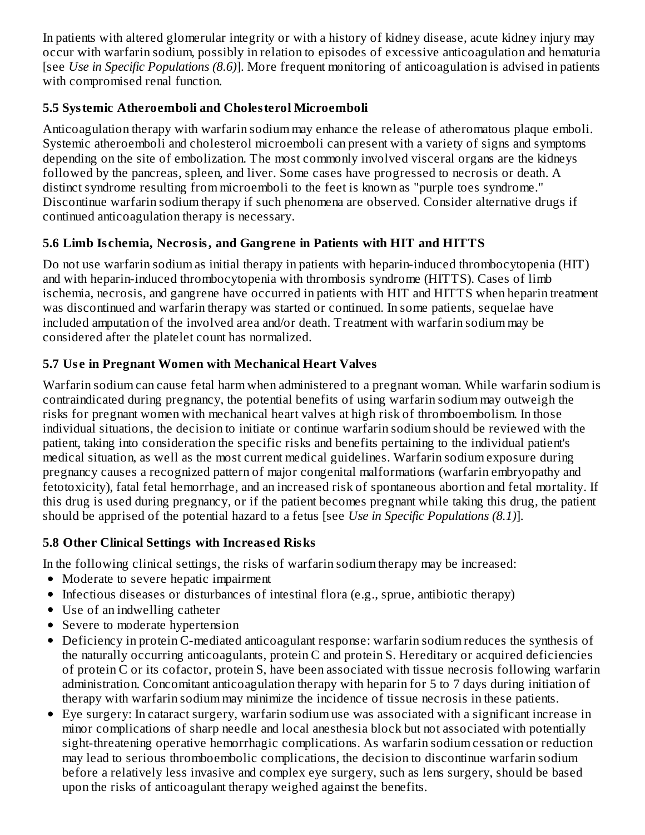In patients with altered glomerular integrity or with a history of kidney disease, acute kidney injury may occur with warfarin sodium, possibly in relation to episodes of excessive anticoagulation and hematuria [see *Use in Specific Populations (8.6)*]. More frequent monitoring of anticoagulation is advised in patients with compromised renal function.

### **5.5 Systemic Atheroemboli and Cholesterol Microemboli**

Anticoagulation therapy with warfarin sodium may enhance the release of atheromatous plaque emboli. Systemic atheroemboli and cholesterol microemboli can present with a variety of signs and symptoms depending on the site of embolization. The most commonly involved visceral organs are the kidneys followed by the pancreas, spleen, and liver. Some cases have progressed to necrosis or death. A distinct syndrome resulting from microemboli to the feet is known as "purple toes syndrome." Discontinue warfarin sodium therapy if such phenomena are observed. Consider alternative drugs if continued anticoagulation therapy is necessary.

## **5.6 Limb Is chemia, Necrosis, and Gangrene in Patients with HIT and HITTS**

Do not use warfarin sodium as initial therapy in patients with heparin-induced thrombocytopenia (HIT) and with heparin-induced thrombocytopenia with thrombosis syndrome (HITTS). Cases of limb ischemia, necrosis, and gangrene have occurred in patients with HIT and HITTS when heparin treatment was discontinued and warfarin therapy was started or continued. In some patients, sequelae have included amputation of the involved area and/or death. Treatment with warfarin sodium may be considered after the platelet count has normalized.

## **5.7 Us e in Pregnant Women with Mechanical Heart Valves**

Warfarin sodium can cause fetal harm when administered to a pregnant woman. While warfarin sodium is contraindicated during pregnancy, the potential benefits of using warfarin sodium may outweigh the risks for pregnant women with mechanical heart valves at high risk of thromboembolism. In those individual situations, the decision to initiate or continue warfarin sodium should be reviewed with the patient, taking into consideration the specific risks and benefits pertaining to the individual patient's medical situation, as well as the most current medical guidelines. Warfarin sodium exposure during pregnancy causes a recognized pattern of major congenital malformations (warfarin embryopathy and fetotoxicity), fatal fetal hemorrhage, and an increased risk of spontaneous abortion and fetal mortality. If this drug is used during pregnancy, or if the patient becomes pregnant while taking this drug, the patient should be apprised of the potential hazard to a fetus [see *Use in Specific Populations (8.1)*].

## **5.8 Other Clinical Settings with Increas ed Risks**

In the following clinical settings, the risks of warfarin sodium therapy may be increased:

- Moderate to severe hepatic impairment
- Infectious diseases or disturbances of intestinal flora (e.g., sprue, antibiotic therapy)
- Use of an indwelling catheter
- Severe to moderate hypertension
- Deficiency in protein C-mediated anticoagulant response: warfarin sodium reduces the synthesis of the naturally occurring anticoagulants, protein C and protein S. Hereditary or acquired deficiencies of protein C or its cofactor, protein S, have been associated with tissue necrosis following warfarin administration. Concomitant anticoagulation therapy with heparin for 5 to 7 days during initiation of therapy with warfarin sodium may minimize the incidence of tissue necrosis in these patients.
- Eye surgery: In cataract surgery, warfarin sodium use was associated with a significant increase in minor complications of sharp needle and local anesthesia block but not associated with potentially sight-threatening operative hemorrhagic complications. As warfarin sodium cessation or reduction may lead to serious thromboembolic complications, the decision to discontinue warfarin sodium before a relatively less invasive and complex eye surgery, such as lens surgery, should be based upon the risks of anticoagulant therapy weighed against the benefits.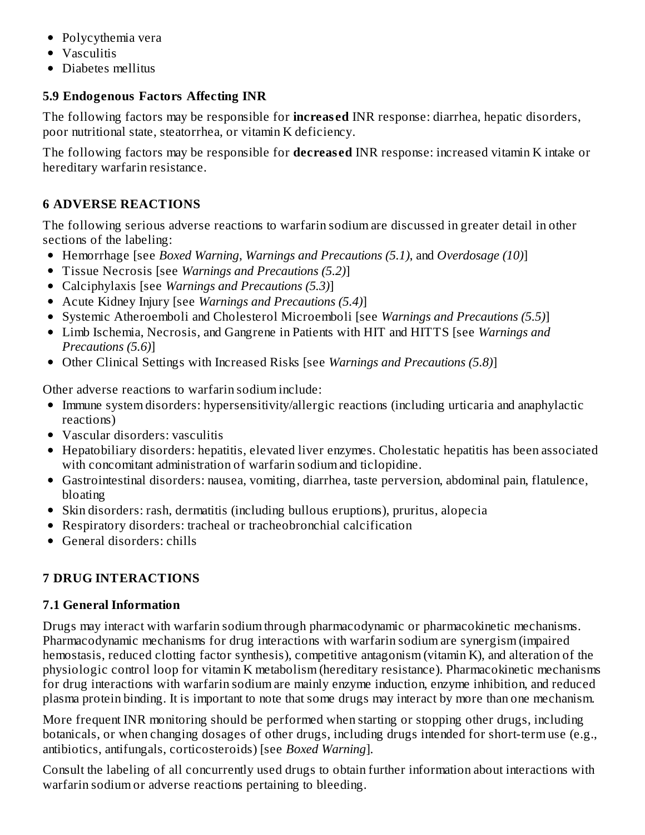- Polycythemia vera
- Vasculitis
- Diabetes mellitus

### **5.9 Endogenous Factors Affecting INR**

The following factors may be responsible for **increas ed** INR response: diarrhea, hepatic disorders, poor nutritional state, steatorrhea, or vitamin K deficiency.

The following factors may be responsible for **decreas ed** INR response: increased vitamin K intake or hereditary warfarin resistance.

### **6 ADVERSE REACTIONS**

The following serious adverse reactions to warfarin sodium are discussed in greater detail in other sections of the labeling:

- Hemorrhage [see *Boxed Warning*, *Warnings and Precautions (5.1)*, and *Overdosage (10)*]
- Tissue Necrosis [see *Warnings and Precautions (5.2)*]
- Calciphylaxis [see *Warnings and Precautions (5.3)*]
- Acute Kidney Injury [see *Warnings and Precautions (5.4)*]
- Systemic Atheroemboli and Cholesterol Microemboli [see *Warnings and Precautions (5.5)*]
- Limb Ischemia, Necrosis, and Gangrene in Patients with HIT and HITTS [see *Warnings and Precautions (5.6)*]
- Other Clinical Settings with Increased Risks [see *Warnings and Precautions (5.8)*]

Other adverse reactions to warfarin sodium include:

- Immune system disorders: hypersensitivity/allergic reactions (including urticaria and anaphylactic reactions)
- Vascular disorders: vasculitis
- Hepatobiliary disorders: hepatitis, elevated liver enzymes. Cholestatic hepatitis has been associated with concomitant administration of warfarin sodium and ticlopidine.
- Gastrointestinal disorders: nausea, vomiting, diarrhea, taste perversion, abdominal pain, flatulence, bloating
- Skin disorders: rash, dermatitis (including bullous eruptions), pruritus, alopecia
- Respiratory disorders: tracheal or tracheobronchial calcification
- General disorders: chills

## **7 DRUG INTERACTIONS**

### **7.1 General Information**

Drugs may interact with warfarin sodium through pharmacodynamic or pharmacokinetic mechanisms. Pharmacodynamic mechanisms for drug interactions with warfarin sodium are synergism (impaired hemostasis, reduced clotting factor synthesis), competitive antagonism (vitamin K), and alteration of the physiologic control loop for vitamin K metabolism (hereditary resistance). Pharmacokinetic mechanisms for drug interactions with warfarin sodium are mainly enzyme induction, enzyme inhibition, and reduced plasma protein binding. It is important to note that some drugs may interact by more than one mechanism.

More frequent INR monitoring should be performed when starting or stopping other drugs, including botanicals, or when changing dosages of other drugs, including drugs intended for short-term use (e.g., antibiotics, antifungals, corticosteroids) [see *Boxed Warning*].

Consult the labeling of all concurrently used drugs to obtain further information about interactions with warfarin sodium or adverse reactions pertaining to bleeding.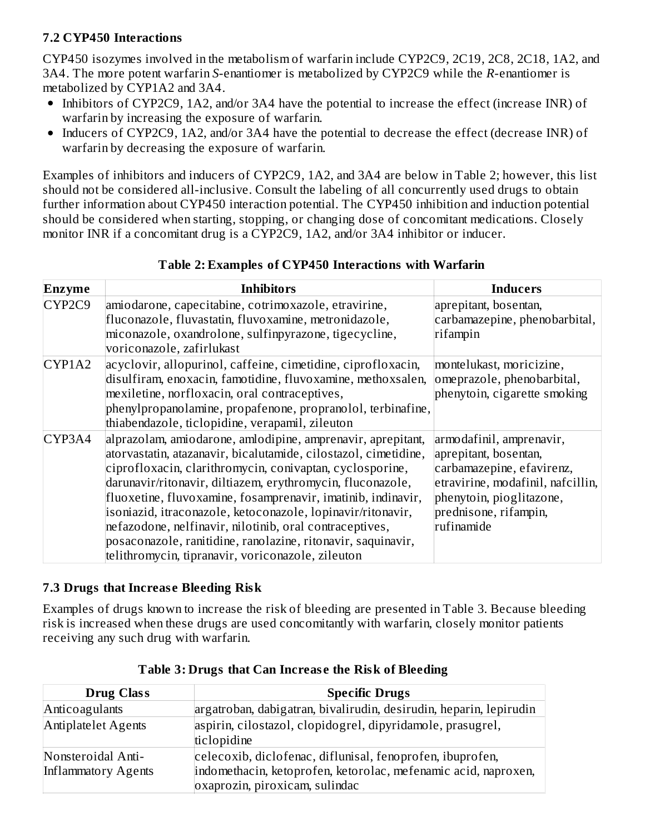### **7.2 CYP450 Interactions**

CYP450 isozymes involved in the metabolism of warfarin include CYP2C9, 2C19, 2C8, 2C18, 1A2, and 3A4. The more potent warfarin *S*-enantiomer is metabolized by CYP2C9 while the *R*-enantiomer is metabolized by CYP1A2 and 3A4.

- Inhibitors of CYP2C9, 1A2, and/or 3A4 have the potential to increase the effect (increase INR) of warfarin by increasing the exposure of warfarin.
- Inducers of CYP2C9, 1A2, and/or 3A4 have the potential to decrease the effect (decrease INR) of warfarin by decreasing the exposure of warfarin.

Examples of inhibitors and inducers of CYP2C9, 1A2, and 3A4 are below in Table 2; however, this list should not be considered all-inclusive. Consult the labeling of all concurrently used drugs to obtain further information about CYP450 interaction potential. The CYP450 inhibition and induction potential should be considered when starting, stopping, or changing dose of concomitant medications. Closely monitor INR if a concomitant drug is a CYP2C9, 1A2, and/or 3A4 inhibitor or inducer.

| Table 2: Examples of CYP450 Interactions with Warfarin |  |  |  |
|--------------------------------------------------------|--|--|--|
|                                                        |  |  |  |

| Enzyme | <b>Inhibitors</b>                                                                                                                                                                                                                                                                                                                                                                                                                                                                                                                                                       | <b>Inducers</b>                                                                                                                                                                        |
|--------|-------------------------------------------------------------------------------------------------------------------------------------------------------------------------------------------------------------------------------------------------------------------------------------------------------------------------------------------------------------------------------------------------------------------------------------------------------------------------------------------------------------------------------------------------------------------------|----------------------------------------------------------------------------------------------------------------------------------------------------------------------------------------|
| CYP2C9 | amiodarone, capecitabine, cotrimoxazole, etravirine,<br>fluconazole, fluvastatin, fluvoxamine, metronidazole,                                                                                                                                                                                                                                                                                                                                                                                                                                                           | aprepitant, bosentan,<br>carbamazepine, phenobarbital,                                                                                                                                 |
|        | miconazole, oxandrolone, sulfinpyrazone, tigecycline,<br>voriconazole, zafirlukast                                                                                                                                                                                                                                                                                                                                                                                                                                                                                      | rifampin                                                                                                                                                                               |
| CYP1A2 | acyclovir, allopurinol, caffeine, cimetidine, ciprofloxacin,<br>disulfiram, enoxacin, famotidine, fluvoxamine, methoxsalen,<br>mexiletine, norfloxacin, oral contraceptives,<br>phenylpropanolamine, propafenone, propranolol, terbinafine,<br>thiabendazole, ticlopidine, verapamil, zileuton                                                                                                                                                                                                                                                                          | montelukast, moricizine,<br>omeprazole, phenobarbital,<br>phenytoin, cigarette smoking                                                                                                 |
| CYP3A4 | alprazolam, amiodarone, amlodipine, amprenavir, aprepitant,<br>atorvastatin, atazanavir, bicalutamide, cilostazol, cimetidine,<br>ciprofloxacin, clarithromycin, conivaptan, cyclosporine,<br>darunavir/ritonavir, diltiazem, erythromycin, fluconazole,<br>fluoxetine, fluvoxamine, fosamprenavir, imatinib, indinavir,<br>isoniazid, itraconazole, ketoconazole, lopinavir/ritonavir,<br>nefazodone, nelfinavir, nilotinib, oral contraceptives,<br>posaconazole, ranitidine, ranolazine, ritonavir, saquinavir,<br>telithromycin, tipranavir, voriconazole, zileuton | armodafinil, amprenavir,<br>aprepitant, bosentan,<br>carbamazepine, efavirenz,<br>etravirine, modafinil, nafcillin,<br>phenytoin, pioglitazone,<br>prednisone, rifampin,<br>rufinamide |

#### **7.3 Drugs that Increas e Bleeding Risk**

Examples of drugs known to increase the risk of bleeding are presented in Table 3. Because bleeding risk is increased when these drugs are used concomitantly with warfarin, closely monitor patients receiving any such drug with warfarin.

| <b>Drug Class</b>                         | <b>Specific Drugs</b>                                                                                                                                         |
|-------------------------------------------|---------------------------------------------------------------------------------------------------------------------------------------------------------------|
| Anticoagulants                            | argatroban, dabigatran, bivalirudin, desirudin, heparin, lepirudin                                                                                            |
| Antiplatelet Agents                       | aspirin, cilostazol, clopidogrel, dipyridamole, prasugrel,<br>ticlopidine                                                                                     |
| Nonsteroidal Anti-<br>Inflammatory Agents | celecoxib, diclofenac, diflunisal, fenoprofen, ibuprofen,<br>indomethacin, ketoprofen, ketorolac, mefenamic acid, naproxen,<br>oxaprozin, piroxicam, sulindac |

|  | Table 3: Drugs that Can Increase the Risk of Bleeding |  |  |
|--|-------------------------------------------------------|--|--|
|  |                                                       |  |  |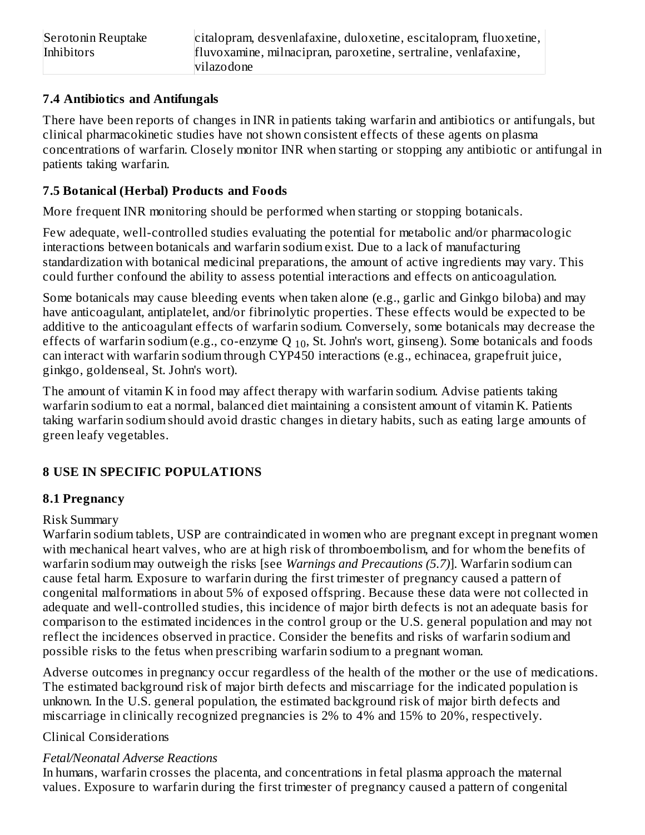#### **7.4 Antibiotics and Antifungals**

There have been reports of changes in INR in patients taking warfarin and antibiotics or antifungals, but clinical pharmacokinetic studies have not shown consistent effects of these agents on plasma concentrations of warfarin. Closely monitor INR when starting or stopping any antibiotic or antifungal in patients taking warfarin.

### **7.5 Botanical (Herbal) Products and Foods**

More frequent INR monitoring should be performed when starting or stopping botanicals.

Few adequate, well-controlled studies evaluating the potential for metabolic and/or pharmacologic interactions between botanicals and warfarin sodium exist. Due to a lack of manufacturing standardization with botanical medicinal preparations, the amount of active ingredients may vary. This could further confound the ability to assess potential interactions and effects on anticoagulation.

Some botanicals may cause bleeding events when taken alone (e.g., garlic and Ginkgo biloba) and may have anticoagulant, antiplatelet, and/or fibrinolytic properties. These effects would be expected to be additive to the anticoagulant effects of warfarin sodium. Conversely, some botanicals may decrease the effects of warfarin sodium (e.g., co-enzyme Q  $_{10}$ , St. John's wort, ginseng). Some botanicals and foods can interact with warfarin sodium through CYP450 interactions (e.g., echinacea, grapefruit juice, ginkgo, goldenseal, St. John's wort).

The amount of vitamin K in food may affect therapy with warfarin sodium. Advise patients taking warfarin sodium to eat a normal, balanced diet maintaining a consistent amount of vitamin K. Patients taking warfarin sodium should avoid drastic changes in dietary habits, such as eating large amounts of green leafy vegetables.

## **8 USE IN SPECIFIC POPULATIONS**

### **8.1 Pregnancy**

### Risk Summary

Warfarin sodium tablets, USP are contraindicated in women who are pregnant except in pregnant women with mechanical heart valves, who are at high risk of thromboembolism, and for whom the benefits of warfarin sodium may outweigh the risks [see *Warnings and Precautions (5.7)*]. Warfarin sodium can cause fetal harm. Exposure to warfarin during the first trimester of pregnancy caused a pattern of congenital malformations in about 5% of exposed offspring. Because these data were not collected in adequate and well-controlled studies, this incidence of major birth defects is not an adequate basis for comparison to the estimated incidences in the control group or the U.S. general population and may not reflect the incidences observed in practice. Consider the benefits and risks of warfarin sodium and possible risks to the fetus when prescribing warfarin sodium to a pregnant woman.

Adverse outcomes in pregnancy occur regardless of the health of the mother or the use of medications. The estimated background risk of major birth defects and miscarriage for the indicated population is unknown. In the U.S. general population, the estimated background risk of major birth defects and miscarriage in clinically recognized pregnancies is 2% to 4% and 15% to 20%, respectively.

### Clinical Considerations

### *Fetal/Neonatal Adverse Reactions*

In humans, warfarin crosses the placenta, and concentrations in fetal plasma approach the maternal values. Exposure to warfarin during the first trimester of pregnancy caused a pattern of congenital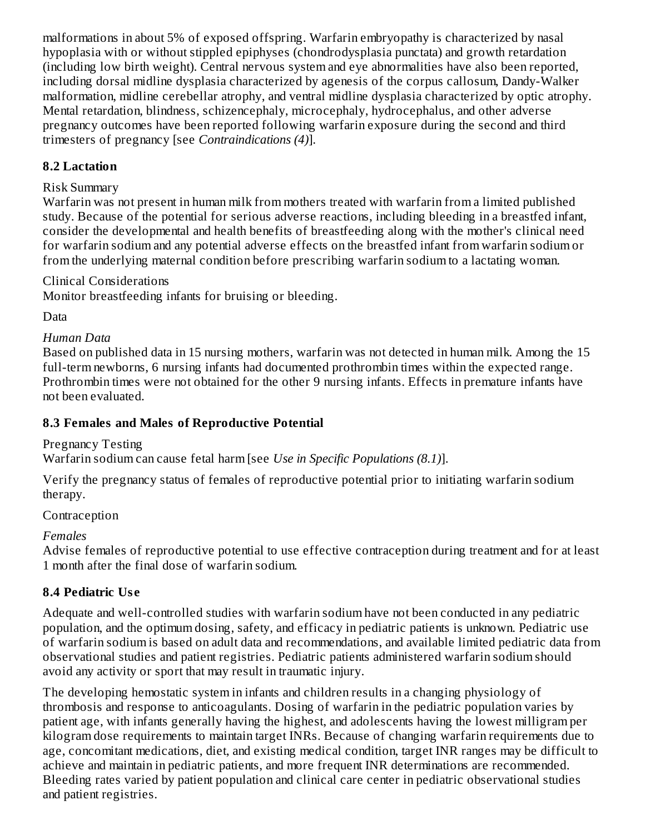malformations in about 5% of exposed offspring. Warfarin embryopathy is characterized by nasal hypoplasia with or without stippled epiphyses (chondrodysplasia punctata) and growth retardation (including low birth weight). Central nervous system and eye abnormalities have also been reported, including dorsal midline dysplasia characterized by agenesis of the corpus callosum, Dandy-Walker malformation, midline cerebellar atrophy, and ventral midline dysplasia characterized by optic atrophy. Mental retardation, blindness, schizencephaly, microcephaly, hydrocephalus, and other adverse pregnancy outcomes have been reported following warfarin exposure during the second and third trimesters of pregnancy [see *Contraindications (4)*].

#### **8.2 Lactation**

#### Risk Summary

Warfarin was not present in human milk from mothers treated with warfarin from a limited published study. Because of the potential for serious adverse reactions, including bleeding in a breastfed infant, consider the developmental and health benefits of breastfeeding along with the mother's clinical need for warfarin sodium and any potential adverse effects on the breastfed infant from warfarin sodium or from the underlying maternal condition before prescribing warfarin sodium to a lactating woman.

Clinical Considerations

Monitor breastfeeding infants for bruising or bleeding.

Data

### *Human Data*

Based on published data in 15 nursing mothers, warfarin was not detected in human milk. Among the 15 full-term newborns, 6 nursing infants had documented prothrombin times within the expected range. Prothrombin times were not obtained for the other 9 nursing infants. Effects in premature infants have not been evaluated.

#### **8.3 Females and Males of Reproductive Potential**

Pregnancy Testing

Warfarin sodium can cause fetal harm [see *Use in Specific Populations (8.1)*].

Verify the pregnancy status of females of reproductive potential prior to initiating warfarin sodium therapy.

#### Contraception

#### *Females*

Advise females of reproductive potential to use effective contraception during treatment and for at least 1 month after the final dose of warfarin sodium.

### **8.4 Pediatric Us e**

Adequate and well-controlled studies with warfarin sodium have not been conducted in any pediatric population, and the optimum dosing, safety, and efficacy in pediatric patients is unknown. Pediatric use of warfarin sodium is based on adult data and recommendations, and available limited pediatric data from observational studies and patient registries. Pediatric patients administered warfarin sodium should avoid any activity or sport that may result in traumatic injury.

The developing hemostatic system in infants and children results in a changing physiology of thrombosis and response to anticoagulants. Dosing of warfarin in the pediatric population varies by patient age, with infants generally having the highest, and adolescents having the lowest milligram per kilogram dose requirements to maintain target INRs. Because of changing warfarin requirements due to age, concomitant medications, diet, and existing medical condition, target INR ranges may be difficult to achieve and maintain in pediatric patients, and more frequent INR determinations are recommended. Bleeding rates varied by patient population and clinical care center in pediatric observational studies and patient registries.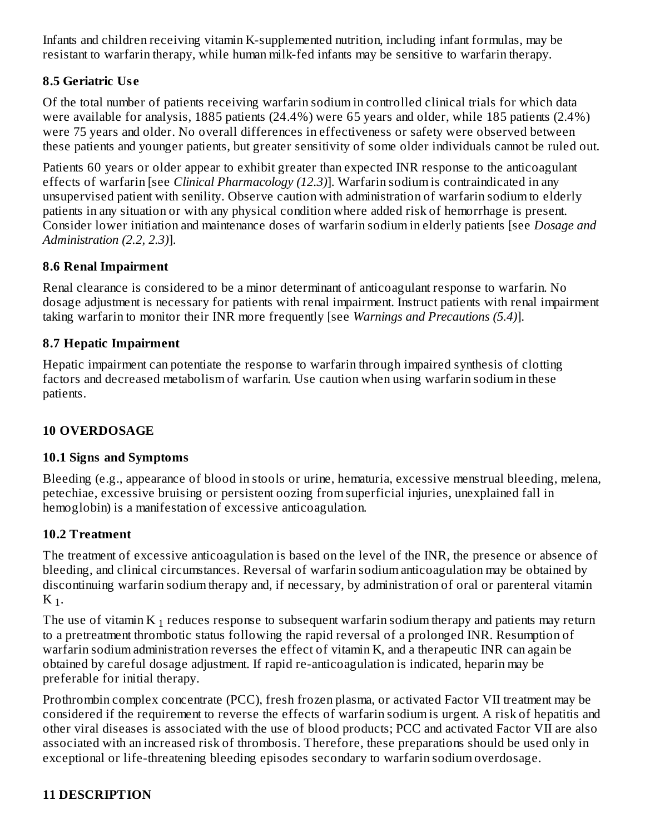Infants and children receiving vitamin K-supplemented nutrition, including infant formulas, may be resistant to warfarin therapy, while human milk-fed infants may be sensitive to warfarin therapy.

#### **8.5 Geriatric Us e**

Of the total number of patients receiving warfarin sodium in controlled clinical trials for which data were available for analysis, 1885 patients (24.4%) were 65 years and older, while 185 patients (2.4%) were 75 years and older. No overall differences in effectiveness or safety were observed between these patients and younger patients, but greater sensitivity of some older individuals cannot be ruled out.

Patients 60 years or older appear to exhibit greater than expected INR response to the anticoagulant effects of warfarin [see *Clinical Pharmacology (12.3)*]. Warfarin sodium is contraindicated in any unsupervised patient with senility. Observe caution with administration of warfarin sodium to elderly patients in any situation or with any physical condition where added risk of hemorrhage is present. Consider lower initiation and maintenance doses of warfarin sodium in elderly patients [see *Dosage and Administration (2.2, 2.3)*].

#### **8.6 Renal Impairment**

Renal clearance is considered to be a minor determinant of anticoagulant response to warfarin. No dosage adjustment is necessary for patients with renal impairment. Instruct patients with renal impairment taking warfarin to monitor their INR more frequently [see *Warnings and Precautions (5.4)*].

#### **8.7 Hepatic Impairment**

Hepatic impairment can potentiate the response to warfarin through impaired synthesis of clotting factors and decreased metabolism of warfarin. Use caution when using warfarin sodium in these patients.

### **10 OVERDOSAGE**

#### **10.1 Signs and Symptoms**

Bleeding (e.g., appearance of blood in stools or urine, hematuria, excessive menstrual bleeding, melena, petechiae, excessive bruising or persistent oozing from superficial injuries, unexplained fall in hemoglobin) is a manifestation of excessive anticoagulation.

#### **10.2 Treatment**

The treatment of excessive anticoagulation is based on the level of the INR, the presence or absence of bleeding, and clinical circumstances. Reversal of warfarin sodium anticoagulation may be obtained by discontinuing warfarin sodium therapy and, if necessary, by administration of oral or parenteral vitamin  $K_{1}$ .

The use of vitamin K  $_1$  reduces response to subsequent warfarin sodium therapy and patients may return to a pretreatment thrombotic status following the rapid reversal of a prolonged INR. Resumption of warfarin sodium administration reverses the effect of vitamin K, and a therapeutic INR can again be obtained by careful dosage adjustment. If rapid re-anticoagulation is indicated, heparin may be preferable for initial therapy.

Prothrombin complex concentrate (PCC), fresh frozen plasma, or activated Factor VII treatment may be considered if the requirement to reverse the effects of warfarin sodium is urgent. A risk of hepatitis and other viral diseases is associated with the use of blood products; PCC and activated Factor VII are also associated with an increased risk of thrombosis. Therefore, these preparations should be used only in exceptional or life-threatening bleeding episodes secondary to warfarin sodium overdosage.

### **11 DESCRIPTION**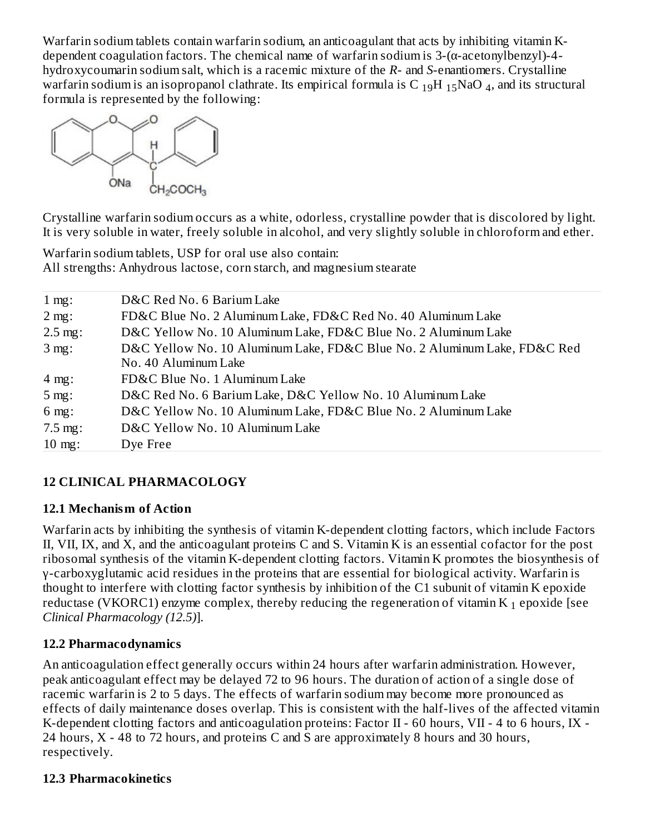Warfarin sodium tablets contain warfarin sodium, an anticoagulant that acts by inhibiting vitamin Kdependent coagulation factors. The chemical name of warfarin sodium is 3-(α-acetonylbenzyl)-4 hydroxycoumarin sodium salt, which is a racemic mixture of the *R*- and *S*-enantiomers. Crystalline warfarin sodium is an isopropanol clathrate. Its empirical formula is C  $_{19}$ H  $_{15}$ NaO  $_4$ , and its structural formula is represented by the following:



Crystalline warfarin sodium occurs as a white, odorless, crystalline powder that is discolored by light. It is very soluble in water, freely soluble in alcohol, and very slightly soluble in chloroform and ether.

Warfarin sodium tablets, USP for oral use also contain: All strengths: Anhydrous lactose, corn starch, and magnesium stearate

| 1 mg:             | D&C Red No. 6 Barium Lake                                                |
|-------------------|--------------------------------------------------------------------------|
| 2 mg:             | FD&C Blue No. 2 Aluminum Lake, FD&C Red No. 40 Aluminum Lake             |
| $2.5$ mg:         | D&C Yellow No. 10 Aluminum Lake, FD&C Blue No. 2 Aluminum Lake           |
| 3 mg:             | D&C Yellow No. 10 Aluminum Lake, FD&C Blue No. 2 Aluminum Lake, FD&C Red |
|                   | No. 40 Aluminum Lake                                                     |
| 4 mg:             | FD&C Blue No. 1 Aluminum Lake                                            |
| 5 mg:             | D&C Red No. 6 Barium Lake, D&C Yellow No. 10 Aluminum Lake               |
| $6$ mg:           | D&C Yellow No. 10 Aluminum Lake, FD&C Blue No. 2 Aluminum Lake           |
| $7.5$ mg:         | D&C Yellow No. 10 Aluminum Lake                                          |
| $10 \text{ mg}$ : | Dye Free                                                                 |

### **12 CLINICAL PHARMACOLOGY**

### **12.1 Mechanism of Action**

Warfarin acts by inhibiting the synthesis of vitamin K-dependent clotting factors, which include Factors II, VII, IX, and X, and the anticoagulant proteins C and S. Vitamin K is an essential cofactor for the post ribosomal synthesis of the vitamin K-dependent clotting factors. Vitamin K promotes the biosynthesis of γ-carboxyglutamic acid residues in the proteins that are essential for biological activity. Warfarin is thought to interfere with clotting factor synthesis by inhibition of the C1 subunit of vitamin K epoxide reductase (VKORC1) enzyme complex, thereby reducing the regeneration of vitamin K  $_1$  epoxide [see *Clinical Pharmacology (12.5)*].

#### **12.2 Pharmacodynamics**

An anticoagulation effect generally occurs within 24 hours after warfarin administration. However, peak anticoagulant effect may be delayed 72 to 96 hours. The duration of action of a single dose of racemic warfarin is 2 to 5 days. The effects of warfarin sodium may become more pronounced as effects of daily maintenance doses overlap. This is consistent with the half-lives of the affected vitamin K-dependent clotting factors and anticoagulation proteins: Factor II - 60 hours, VII - 4 to 6 hours, IX - 24 hours,  $X - 48$  to 72 hours, and proteins C and S are approximately 8 hours and 30 hours, respectively.

#### **12.3 Pharmacokinetics**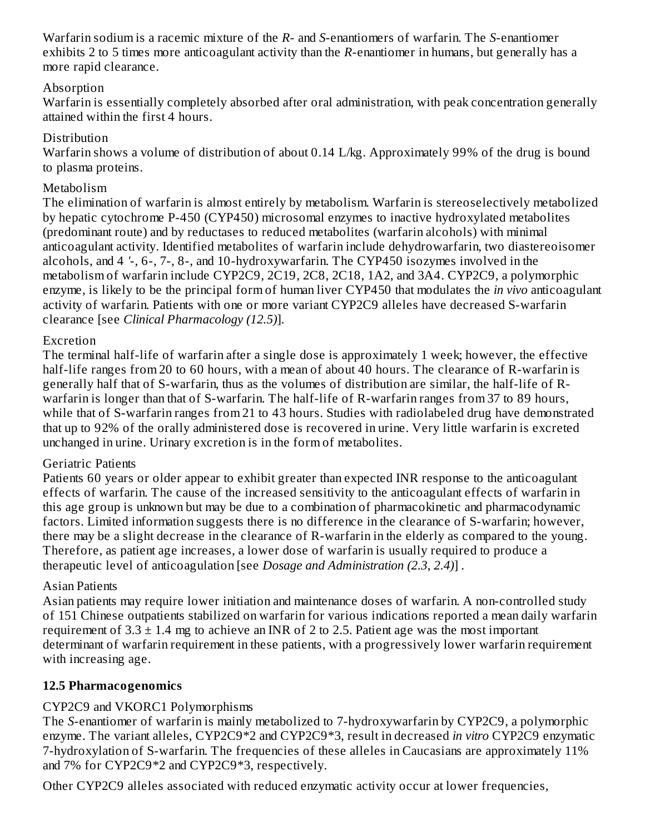Warfarin sodium is a racemic mixture of the *R*- and *S*-enantiomers of warfarin. The *S*-enantiomer exhibits 2 to 5 times more anticoagulant activity than the *R*-enantiomer in humans, but generally has a more rapid clearance.

#### Absorption

Warfarin is essentially completely absorbed after oral administration, with peak concentration generally attained within the first 4 hours.

#### Distribution

Warfarin shows a volume of distribution of about 0.14 L/kg. Approximately 99% of the drug is bound to plasma proteins.

#### Metabolism

The elimination of warfarin is almost entirely by metabolism. Warfarin is stereoselectively metabolized by hepatic cytochrome P-450 (CYP450) microsomal enzymes to inactive hydroxylated metabolites (predominant route) and by reductases to reduced metabolites (warfarin alcohols) with minimal anticoagulant activity. Identified metabolites of warfarin include dehydrowarfarin, two diastereoisomer alcohols, and 4 *'*-, 6-, 7-, 8-, and 10-hydroxywarfarin. The CYP450 isozymes involved in the metabolism of warfarin include CYP2C9, 2C19, 2C8, 2C18, 1A2, and 3A4. CYP2C9, a polymorphic enzyme, is likely to be the principal form of human liver CYP450 that modulates the *in vivo* anticoagulant activity of warfarin. Patients with one or more variant CYP2C9 alleles have decreased S-warfarin clearance [see *Clinical Pharmacology (12.5)*].

#### Excretion

The terminal half-life of warfarin after a single dose is approximately 1 week; however, the effective half-life ranges from 20 to 60 hours, with a mean of about 40 hours. The clearance of R-warfarin is generally half that of S-warfarin, thus as the volumes of distribution are similar, the half-life of Rwarfarin is longer than that of S-warfarin. The half-life of R-warfarin ranges from 37 to 89 hours, while that of S-warfarin ranges from 21 to 43 hours. Studies with radiolabeled drug have demonstrated that up to 92% of the orally administered dose is recovered in urine. Very little warfarin is excreted unchanged in urine. Urinary excretion is in the form of metabolites.

#### Geriatric Patients

Patients 60 years or older appear to exhibit greater than expected INR response to the anticoagulant effects of warfarin. The cause of the increased sensitivity to the anticoagulant effects of warfarin in this age group is unknown but may be due to a combination of pharmacokinetic and pharmacodynamic factors. Limited information suggests there is no difference in the clearance of S-warfarin; however, there may be a slight decrease in the clearance of R-warfarin in the elderly as compared to the young. Therefore, as patient age increases, a lower dose of warfarin is usually required to produce a therapeutic level of anticoagulation [see *Dosage and Administration (2.3, 2.4)*] *.*

### Asian Patients

Asian patients may require lower initiation and maintenance doses of warfarin. A non-controlled study of 151 Chinese outpatients stabilized on warfarin for various indications reported a mean daily warfarin requirement of  $3.3 \pm 1.4$  mg to achieve an INR of 2 to 2.5. Patient age was the most important determinant of warfarin requirement in these patients, with a progressively lower warfarin requirement with increasing age.

### **12.5 Pharmacogenomics**

### CYP2C9 and VKORC1 Polymorphisms

The *S*-enantiomer of warfarin is mainly metabolized to 7-hydroxywarfarin by CYP2C9, a polymorphic enzyme. The variant alleles, CYP2C9\*2 and CYP2C9\*3, result in decreased *in vitro* CYP2C9 enzymatic 7-hydroxylation of S-warfarin. The frequencies of these alleles in Caucasians are approximately 11% and 7% for CYP2C9\*2 and CYP2C9\*3, respectively.

Other CYP2C9 alleles associated with reduced enzymatic activity occur at lower frequencies,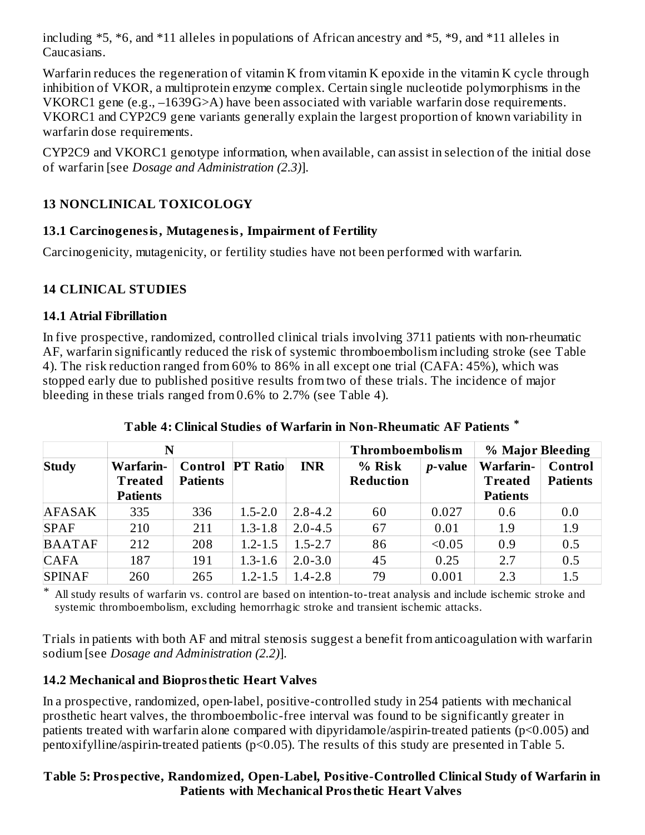including \*5, \*6, and \*11 alleles in populations of African ancestry and \*5, \*9, and \*11 alleles in Caucasians.

Warfarin reduces the regeneration of vitamin K from vitamin K epoxide in the vitamin K cycle through inhibition of VKOR, a multiprotein enzyme complex. Certain single nucleotide polymorphisms in the VKORC1 gene (e.g., –1639G>A) have been associated with variable warfarin dose requirements. VKORC1 and CYP2C9 gene variants generally explain the largest proportion of known variability in warfarin dose requirements.

CYP2C9 and VKORC1 genotype information, when available, can assist in selection of the initial dose of warfarin [see *Dosage and Administration (2.3)*].

### **13 NONCLINICAL TOXICOLOGY**

### **13.1 Carcinogenesis, Mutagenesis, Impairment of Fertility**

Carcinogenicity, mutagenicity, or fertility studies have not been performed with warfarin.

## **14 CLINICAL STUDIES**

### **14.1 Atrial Fibrillation**

In five prospective, randomized, controlled clinical trials involving 3711 patients with non-rheumatic AF, warfarin significantly reduced the risk of systemic thromboembolism including stroke (see Table 4). The risk reduction ranged from 60% to 86% in all except one trial (CAFA: 45%), which was stopped early due to published positive results from two of these trials. The incidence of major bleeding in these trials ranged from 0.6% to 2.7% (see Table 4).

|               | N                                              |                 |                         |             | <b>Thromboembolism</b>     |                 | % Major Bleeding                               |                            |
|---------------|------------------------------------------------|-----------------|-------------------------|-------------|----------------------------|-----------------|------------------------------------------------|----------------------------|
| Study         | Warfarin-<br><b>Treated</b><br><b>Patients</b> | <b>Patients</b> | <b>Control PT Ratio</b> | <b>INR</b>  | % Risk<br><b>Reduction</b> | <i>p</i> -value | Warfarin-<br><b>Treated</b><br><b>Patients</b> | Control<br><b>Patients</b> |
| <b>AFASAK</b> | 335                                            | 336             | $1.5 - 2.0$             | $2.8 - 4.2$ | 60                         | 0.027           | 0.6                                            | 0.0                        |
| <b>SPAF</b>   | 210                                            | 211             | $1.3 - 1.8$             | $2.0 - 4.5$ | 67                         | 0.01            | 1.9                                            | 1.9                        |
| <b>BAATAF</b> | 212                                            | 208             | $1.2 - 1.5$             | $1.5 - 2.7$ | 86                         | < 0.05          | 0.9                                            | 0.5                        |
| <b>CAFA</b>   | 187                                            | 191             | $1.3 - 1.6$             | $2.0 - 3.0$ | 45                         | 0.25            | 2.7                                            | 0.5                        |
| <b>SPINAF</b> | 260                                            | 265             | $1.2 - 1.5$             | $1.4 - 2.8$ | 79                         | 0.001           | 2.3                                            | 1.5                        |

**Table 4: Clinical Studies of Warfarin in Non-Rheumatic AF Patients \***

\* All study results of warfarin vs. control are based on intention-to-treat analysis and include ischemic stroke and systemic thromboembolism, excluding hemorrhagic stroke and transient ischemic attacks.

Trials in patients with both AF and mitral stenosis suggest a benefit from anticoagulation with warfarin sodium [see *Dosage and Administration (2.2)*].

## **14.2 Mechanical and Bioprosthetic Heart Valves**

In a prospective, randomized, open-label, positive-controlled study in 254 patients with mechanical prosthetic heart valves, the thromboembolic-free interval was found to be significantly greater in patients treated with warfarin alone compared with dipyridamole/aspirin-treated patients (p<0.005) and pentoxifylline/aspirin-treated patients (p<0.05). The results of this study are presented in Table 5.

### **Table 5: Prospective, Randomized, Open-Label, Positive-Controlled Clinical Study of Warfarin in Patients with Mechanical Prosthetic Heart Valves**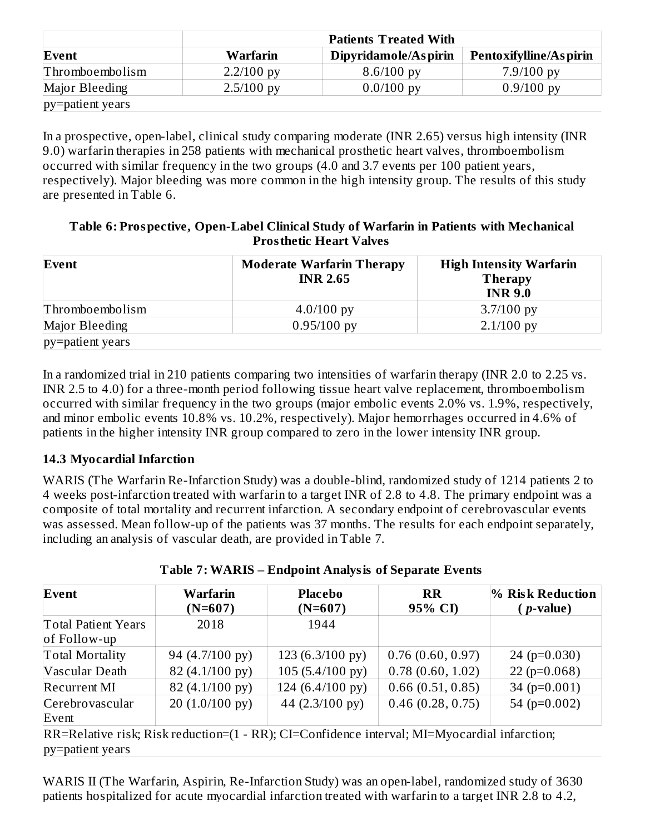|                  | <b>Patients Treated With</b> |                      |                        |  |  |  |
|------------------|------------------------------|----------------------|------------------------|--|--|--|
| Event            | Warfarin                     | Dipyridamole/Aspirin | Pentoxifylline/Aspirin |  |  |  |
| Thromboembolism  | $2.2/100$ py                 | $8.6/100$ py         | $7.9/100$ py           |  |  |  |
| Major Bleeding   | $2.5/100$ py                 | $0.0/100$ py         | $0.9/100$ py           |  |  |  |
| py=patient years |                              |                      |                        |  |  |  |

In a prospective, open-label, clinical study comparing moderate (INR 2.65) versus high intensity (INR 9.0) warfarin therapies in 258 patients with mechanical prosthetic heart valves, thromboembolism occurred with similar frequency in the two groups (4.0 and 3.7 events per 100 patient years, respectively). Major bleeding was more common in the high intensity group. The results of this study are presented in Table 6.

#### **Table 6: Prospective, Open-Label Clinical Study of Warfarin in Patients with Mechanical Prosthetic Heart Valves**

| Event            | <b>Moderate Warfarin Therapy</b><br><b>INR 2.65</b> | <b>High Intensity Warfarin</b><br><b>Therapy</b><br><b>INR 9.0</b> |
|------------------|-----------------------------------------------------|--------------------------------------------------------------------|
| Thromboembolism  | $4.0/100$ py                                        | $3.7/100$ py                                                       |
| Major Bleeding   | $0.95/100$ py                                       | $2.1/100$ py                                                       |
| py=patient years |                                                     |                                                                    |

In a randomized trial in 210 patients comparing two intensities of warfarin therapy (INR 2.0 to 2.25 vs. INR 2.5 to 4.0) for a three-month period following tissue heart valve replacement, thromboembolism occurred with similar frequency in the two groups (major embolic events 2.0% vs. 1.9%, respectively, and minor embolic events 10.8% vs. 10.2%, respectively). Major hemorrhages occurred in 4.6% of patients in the higher intensity INR group compared to zero in the lower intensity INR group.

### **14.3 Myocardial Infarction**

WARIS (The Warfarin Re-Infarction Study) was a double-blind, randomized study of 1214 patients 2 to 4 weeks post-infarction treated with warfarin to a target INR of 2.8 to 4.8. The primary endpoint was a composite of total mortality and recurrent infarction. A secondary endpoint of cerebrovascular events was assessed. Mean follow-up of the patients was 37 months. The results for each endpoint separately, including an analysis of vascular death, are provided in Table 7.

| Event                                      | Warfarin          | <b>Placebo</b>            | <b>RR</b>        | <b>% Risk Reduction</b> |
|--------------------------------------------|-------------------|---------------------------|------------------|-------------------------|
|                                            | $(N=607)$         | $(N=607)$                 | 95% CI)          | $(p$ -value)            |
| <b>Total Patient Years</b><br>of Follow-up | 2018              | 1944                      |                  |                         |
| <b>Total Mortality</b>                     | 94 (4.7/100 py)   | $123(6.3/100 \text{ py})$ | 0.76(0.60, 0.97) | 24 ( $p=0.030$ )        |
| Vascular Death                             | 82 (4.1/100 py)   | $105(5.4/100 \text{ py})$ | 0.78(0.60, 1.02) | $22(p=0.068)$           |
| <b>Recurrent MI</b>                        | 82 (4.1/100 py)   | 124 (6.4/100 py)          | 0.66(0.51, 0.85) | 34 ( $p=0.001$ )        |
| Cerebrovascular<br>Event                   | $20(1.0/100)$ py) | 44 (2.3/100 py)           | 0.46(0.28, 0.75) | 54 ( $p=0.002$ )        |

#### **Table 7: WARIS – Endpoint Analysis of Separate Events**

RR=Relative risk; Risk reduction=(1 - RR); CI=Confidence interval; MI=Myocardial infarction; py=patient years

WARIS II (The Warfarin, Aspirin, Re-Infarction Study) was an open-label, randomized study of 3630 patients hospitalized for acute myocardial infarction treated with warfarin to a target INR 2.8 to 4.2,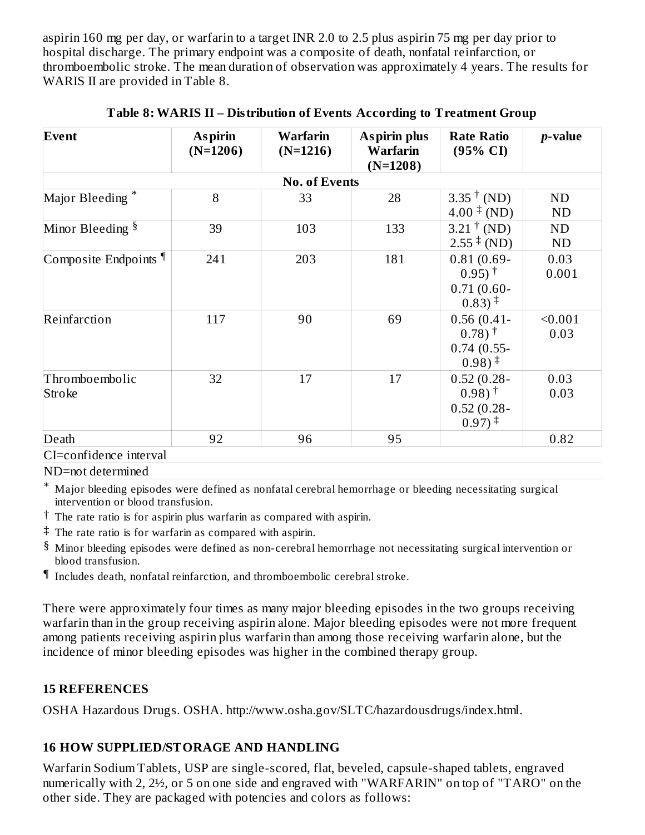aspirin 160 mg per day, or warfarin to a target INR 2.0 to 2.5 plus aspirin 75 mg per day prior to hospital discharge. The primary endpoint was a composite of death, nonfatal reinfarction, or thromboembolic stroke. The mean duration of observation was approximately 4 years. The results for WARIS II are provided in Table 8.

| Event                            | <b>Aspirin</b><br>$(N=1206)$ | Warfarin<br>$(N=1216)$ | <b>Aspirin plus</b><br>Warfarin<br>$(N=1208)$ | <b>Rate Ratio</b><br>$(95\% \text{ CI})$                                                            | <i>p</i> -value        |
|----------------------------------|------------------------------|------------------------|-----------------------------------------------|-----------------------------------------------------------------------------------------------------|------------------------|
|                                  |                              | <b>No. of Events</b>   |                                               |                                                                                                     |                        |
| Major Bleeding *                 | 8                            | 33                     | 28                                            | $3.35^{\dagger}$ (ND)<br>$4.00 \pm (ND)$                                                            | <b>ND</b><br><b>ND</b> |
| Minor Bleeding <sup>§</sup>      | 39                           | 103                    | 133                                           | $3.21^{\dagger}$ (ND)<br>$2.55 \pm (ND)$                                                            | <b>ND</b><br><b>ND</b> |
| Composite Endpoints <sup>¶</sup> | 241                          | 203                    | 181                                           | $0.81(0.69 -$<br>$0.95$ <sup>†</sup><br>$0.71(0.60 -$<br>$0.83)$ <sup>‡</sup>                       | 0.03<br>0.001          |
| Reinfarction                     | 117                          | 90                     | 69                                            | $0.56(0.41 -$<br>$(0.78)$ <sup>†</sup><br>$0.74(0.55-$<br>$0.98$ ) <sup><math>\ddagger</math></sup> | < 0.001<br>0.03        |
| Thromboembolic<br>Stroke         | 32                           | 17                     | 17                                            | $0.52(0.28 -$<br>$0.98$ <sup>+</sup><br>$0.52(0.28 -$<br>$0.97$ <sup><math>\ddagger</math></sup>    | 0.03<br>0.03           |
| Death                            | 92                           | 96                     | 95                                            |                                                                                                     | 0.82                   |
| CI=confidence interval           |                              |                        |                                               |                                                                                                     |                        |

#### **Table 8: WARIS II – Distribution of Events According to Treatment Group**

ND=not determined

\* Major bleeding episodes were defined as nonfatal cerebral hemorrhage or bleeding necessitating surgical intervention or blood transfusion.

- $\dagger$  The rate ratio is for aspirin plus warfarin as compared with aspirin.
- ‡ The rate ratio is for warfarin as compared with aspirin.
- $\S$  Minor bleeding episodes were defined as non-cerebral hemorrhage not necessitating surgical intervention or blood transfusion.
- ¶ Includes death, nonfatal reinfarction, and thromboembolic cerebral stroke.

There were approximately four times as many major bleeding episodes in the two groups receiving warfarin than in the group receiving aspirin alone. Major bleeding episodes were not more frequent among patients receiving aspirin plus warfarin than among those receiving warfarin alone, but the incidence of minor bleeding episodes was higher in the combined therapy group.

#### **15 REFERENCES**

OSHA Hazardous Drugs. OSHA. http://www.osha.gov/SLTC/hazardousdrugs/index.html.

### **16 HOW SUPPLIED/STORAGE AND HANDLING**

Warfarin Sodium Tablets, USP are single-scored, flat, beveled, capsule-shaped tablets, engraved numerically with 2, 2½, or 5 on one side and engraved with "WARFARIN" on top of "TARO" on the other side. They are packaged with potencies and colors as follows: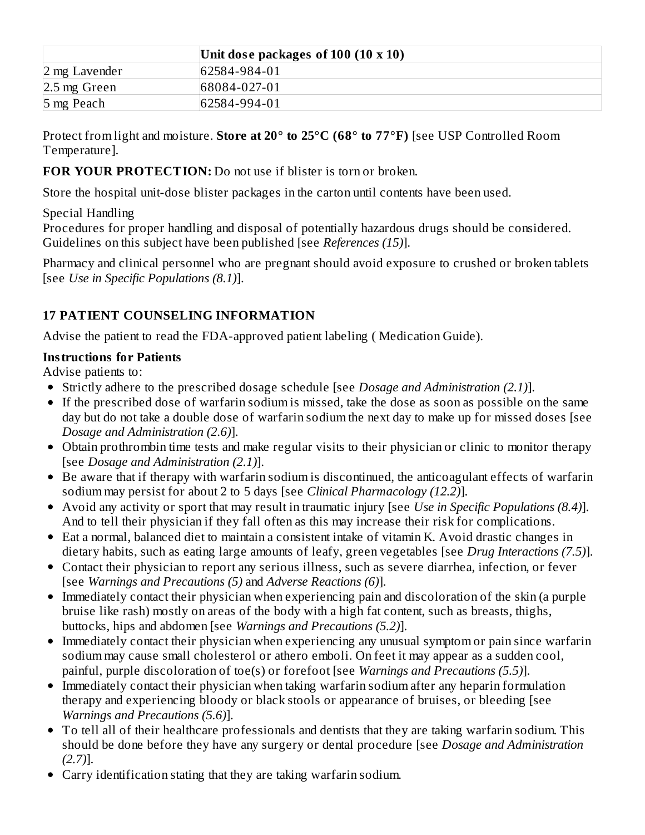|                | Unit dose packages of 100 (10 x 10) |
|----------------|-------------------------------------|
| 2 mg Lavender  | 62584-984-01                        |
| $2.5$ mg Green | 68084-027-01                        |
| 5 mg Peach     | 62584-994-01                        |

Protect from light and moisture. **Store at 20° to 25°C (68° to 77°F)** [see USP Controlled Room Temperature].

### **FOR YOUR PROTECTION:** Do not use if blister is torn or broken.

Store the hospital unit-dose blister packages in the carton until contents have been used.

### Special Handling

Procedures for proper handling and disposal of potentially hazardous drugs should be considered. Guidelines on this subject have been published [see *References (15)*].

Pharmacy and clinical personnel who are pregnant should avoid exposure to crushed or broken tablets [see *Use in Specific Populations (8.1)*].

### **17 PATIENT COUNSELING INFORMATION**

Advise the patient to read the FDA-approved patient labeling ( Medication Guide).

#### **Instructions for Patients**

Advise patients to:

- Strictly adhere to the prescribed dosage schedule [see *Dosage and Administration (2.1)*].
- If the prescribed dose of warfarin sodium is missed, take the dose as soon as possible on the same day but do not take a double dose of warfarin sodium the next day to make up for missed doses [see *Dosage and Administration (2.6)*].
- Obtain prothrombin time tests and make regular visits to their physician or clinic to monitor therapy [see *Dosage and Administration (2.1)*].
- Be aware that if therapy with warfarin sodium is discontinued, the anticoagulant effects of warfarin sodium may persist for about 2 to 5 days [see *Clinical Pharmacology (12.2)*].
- Avoid any activity or sport that may result in traumatic injury [see *Use in Specific Populations (8.4)*]. And to tell their physician if they fall often as this may increase their risk for complications.
- Eat a normal, balanced diet to maintain a consistent intake of vitamin K. Avoid drastic changes in dietary habits, such as eating large amounts of leafy, green vegetables [see *Drug Interactions (7.5)*].
- Contact their physician to report any serious illness, such as severe diarrhea, infection, or fever [see *Warnings and Precautions (5)* and *Adverse Reactions (6)*].
- Immediately contact their physician when experiencing pain and discoloration of the skin (a purple bruise like rash) mostly on areas of the body with a high fat content, such as breasts, thighs, buttocks, hips and abdomen [see *Warnings and Precautions (5.2)*].
- Immediately contact their physician when experiencing any unusual symptom or pain since warfarin sodium may cause small cholesterol or athero emboli. On feet it may appear as a sudden cool, painful, purple discoloration of toe(s) or forefoot [see *Warnings and Precautions (5.5)*].
- Immediately contact their physician when taking warfarin sodium after any heparin formulation therapy and experiencing bloody or black stools or appearance of bruises, or bleeding [see *Warnings and Precautions (5.6)*].
- To tell all of their healthcare professionals and dentists that they are taking warfarin sodium. This should be done before they have any surgery or dental procedure [see *Dosage and Administration (2.7)*].
- Carry identification stating that they are taking warfarin sodium.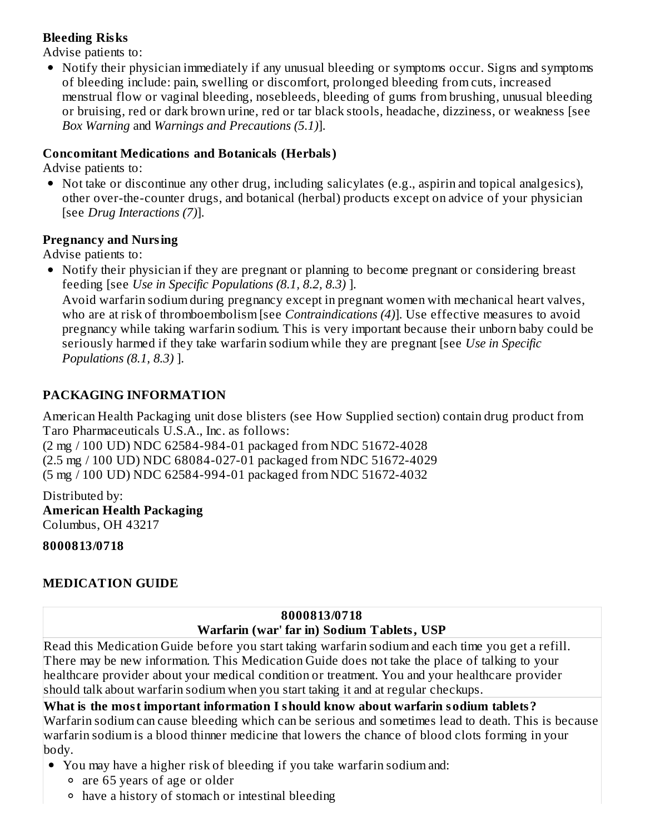### **Bleeding Risks**

Advise patients to:

• Notify their physician immediately if any unusual bleeding or symptoms occur. Signs and symptoms of bleeding include: pain, swelling or discomfort, prolonged bleeding from cuts, increased menstrual flow or vaginal bleeding, nosebleeds, bleeding of gums from brushing, unusual bleeding or bruising, red or dark brown urine, red or tar black stools, headache, dizziness, or weakness [see *Box Warning* and *Warnings and Precautions (5.1)*].

### **Concomitant Medications and Botanicals (Herbals)**

Advise patients to:

Not take or discontinue any other drug, including salicylates (e.g., aspirin and topical analgesics), other over-the-counter drugs, and botanical (herbal) products except on advice of your physician [see *Drug Interactions (7)*].

#### **Pregnancy and Nursing**

Advise patients to:

• Notify their physician if they are pregnant or planning to become pregnant or considering breast feeding [see *Use in Specific Populations (8.1, 8.2, 8.3)* ].

Avoid warfarin sodium during pregnancy except in pregnant women with mechanical heart valves, who are at risk of thromboembolism [see *Contraindications (4)*]. Use effective measures to avoid pregnancy while taking warfarin sodium. This is very important because their unborn baby could be seriously harmed if they take warfarin sodium while they are pregnant [see *Use in Specific Populations (8.1, 8.3)* ].

### **PACKAGING INFORMATION**

American Health Packaging unit dose blisters (see How Supplied section) contain drug product from Taro Pharmaceuticals U.S.A., Inc. as follows:

(2 mg / 100 UD) NDC 62584-984-01 packaged from NDC 51672-4028 (2.5 mg / 100 UD) NDC 68084-027-01 packaged from NDC 51672-4029 (5 mg / 100 UD) NDC 62584-994-01 packaged from NDC 51672-4032

Distributed by: **American Health Packaging** Columbus, OH 43217

### **8000813/0718**

## **MEDICATION GUIDE**

#### **8000813/0718 Warfarin (war' far in) Sodium Tablets, USP**

Read this Medication Guide before you start taking warfarin sodium and each time you get a refill. There may be new information. This Medication Guide does not take the place of talking to your healthcare provider about your medical condition or treatment. You and your healthcare provider should talk about warfarin sodium when you start taking it and at regular checkups.

### **What is the most important information I should know about warfarin sodium tablets?**

Warfarin sodium can cause bleeding which can be serious and sometimes lead to death. This is because warfarin sodium is a blood thinner medicine that lowers the chance of blood clots forming in your body.

- You may have a higher risk of bleeding if you take warfarin sodium and:
	- are 65 years of age or older
	- have a history of stomach or intestinal bleeding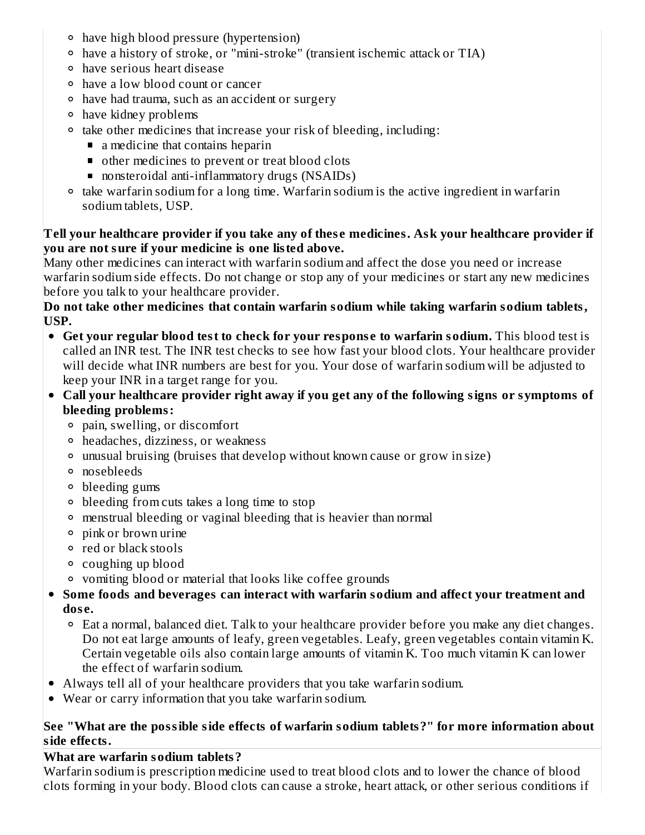- have high blood pressure (hypertension)
- have a history of stroke, or "mini-stroke" (transient ischemic attack or TIA)
- have serious heart disease
- have a low blood count or cancer
- have had trauma, such as an accident or surgery
- have kidney problems
- <sup>o</sup> take other medicines that increase your risk of bleeding, including:
	- a medicine that contains heparin
	- other medicines to prevent or treat blood clots
	- nonsteroidal anti-inflammatory drugs (NSAIDs)
- take warfarin sodium for a long time. Warfarin sodium is the active ingredient in warfarin sodium tablets, USP.

#### **Tell your healthcare provider if you take any of thes e medicines. Ask your healthcare provider if you are not sure if your medicine is one listed above.**

Many other medicines can interact with warfarin sodium and affect the dose you need or increase warfarin sodium side effects. Do not change or stop any of your medicines or start any new medicines before you talk to your healthcare provider.

**Do not take other medicines that contain warfarin sodium while taking warfarin sodium tablets, USP.**

- **Get your regular blood test to check for your respons e to warfarin sodium.** This blood test is called an INR test. The INR test checks to see how fast your blood clots. Your healthcare provider will decide what INR numbers are best for you. Your dose of warfarin sodium will be adjusted to keep your INR in a target range for you.
- **Call your healthcare provider right away if you get any of the following signs or symptoms of bleeding problems:**
	- pain, swelling, or discomfort
	- headaches, dizziness, or weakness
	- unusual bruising (bruises that develop without known cause or grow in size)
	- nosebleeds
	- bleeding gums
	- bleeding from cuts takes a long time to stop
	- menstrual bleeding or vaginal bleeding that is heavier than normal
	- pink or brown urine
	- red or black stools
	- coughing up blood
	- vomiting blood or material that looks like coffee grounds
- **Some foods and beverages can interact with warfarin sodium and affect your treatment and dos e.**
	- Eat a normal, balanced diet. Talk to your healthcare provider before you make any diet changes. Do not eat large amounts of leafy, green vegetables. Leafy, green vegetables contain vitamin K. Certain vegetable oils also contain large amounts of vitamin K. Too much vitamin K can lower the effect of warfarin sodium.
- Always tell all of your healthcare providers that you take warfarin sodium.
- Wear or carry information that you take warfarin sodium.

### **See "What are the possible side effects of warfarin sodium tablets?" for more information about side effects.**

# **What are warfarin sodium tablets?**

Warfarin sodium is prescription medicine used to treat blood clots and to lower the chance of blood clots forming in your body. Blood clots can cause a stroke, heart attack, or other serious conditions if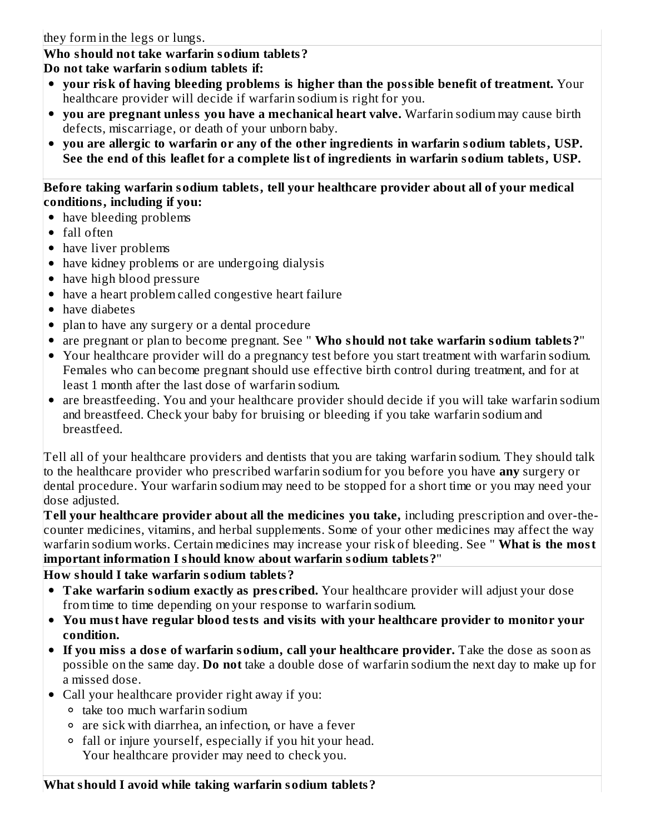#### **Who should not take warfarin sodium tablets? Do not take warfarin sodium tablets if:**

- **your risk of having bleeding problems is higher than the possible benefit of treatment.** Your healthcare provider will decide if warfarin sodium is right for you.
- **you are pregnant unless you have a mechanical heart valve.** Warfarin sodium may cause birth defects, miscarriage, or death of your unborn baby.
- **you are allergic to warfarin or any of the other ingredients in warfarin sodium tablets, USP. See the end of this leaflet for a complete list of ingredients in warfarin sodium tablets, USP.**

#### **Before taking warfarin sodium tablets, tell your healthcare provider about all of your medical conditions, including if you:**

- have bleeding problems
- fall often
- have liver problems
- have kidney problems or are undergoing dialysis
- have high blood pressure
- have a heart problem called congestive heart failure
- have diabetes
- plan to have any surgery or a dental procedure
- are pregnant or plan to become pregnant. See " **Who should not take warfarin sodium tablets?**"
- Your healthcare provider will do a pregnancy test before you start treatment with warfarin sodium. Females who can become pregnant should use effective birth control during treatment, and for at least 1 month after the last dose of warfarin sodium.
- are breastfeeding. You and your healthcare provider should decide if you will take warfarin sodium and breastfeed. Check your baby for bruising or bleeding if you take warfarin sodium and breastfeed.

Tell all of your healthcare providers and dentists that you are taking warfarin sodium. They should talk to the healthcare provider who prescribed warfarin sodium for you before you have **any** surgery or dental procedure. Your warfarin sodium may need to be stopped for a short time or you may need your dose adjusted.

**Tell your healthcare provider about all the medicines you take,** including prescription and over-thecounter medicines, vitamins, and herbal supplements. Some of your other medicines may affect the way warfarin sodium works. Certain medicines may increase your risk of bleeding. See " **What is the most important information I should know about warfarin sodium tablets?**"

### **How should I take warfarin sodium tablets?**

- **Take warfarin sodium exactly as pres cribed.** Your healthcare provider will adjust your dose from time to time depending on your response to warfarin sodium.
- **You must have regular blood tests and visits with your healthcare provider to monitor your condition.**
- **If you miss a dos e of warfarin sodium, call your healthcare provider.** Take the dose as soon as possible on the same day. **Do not** take a double dose of warfarin sodium the next day to make up for a missed dose.
- Call your healthcare provider right away if you:
	- take too much warfarin sodium
	- are sick with diarrhea, an infection, or have a fever
	- fall or injure yourself, especially if you hit your head. Your healthcare provider may need to check you.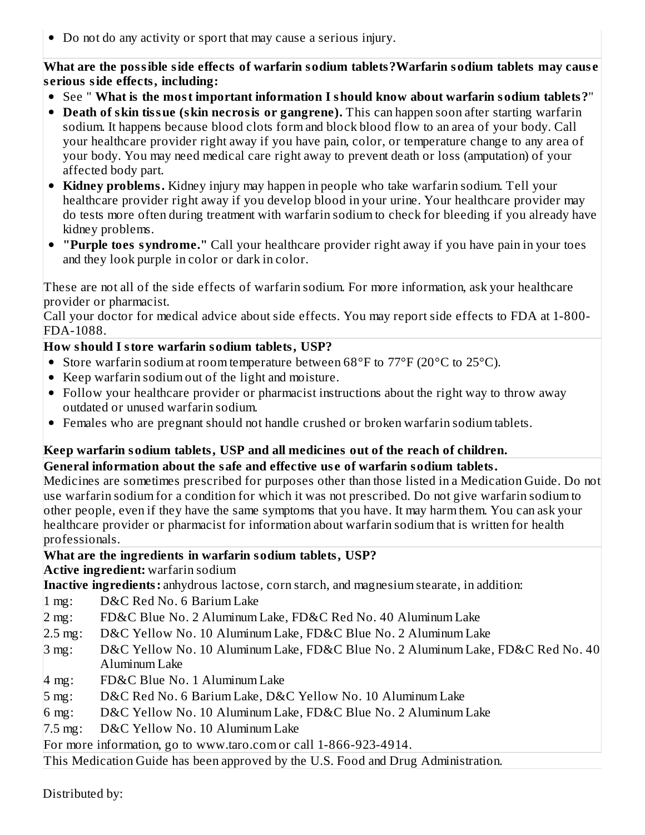Do not do any activity or sport that may cause a serious injury.

**What are the possible side effects of warfarin sodium tablets?Warfarin sodium tablets may caus e s erious side effects, including:**

- See " **What is the most important information I should know about warfarin sodium tablets?**"
- **Death of skin tissue (skin necrosis or gangrene).** This can happen soon after starting warfarin sodium. It happens because blood clots form and block blood flow to an area of your body. Call your healthcare provider right away if you have pain, color, or temperature change to any area of your body. You may need medical care right away to prevent death or loss (amputation) of your affected body part.
- **Kidney problems.** Kidney injury may happen in people who take warfarin sodium. Tell your healthcare provider right away if you develop blood in your urine. Your healthcare provider may do tests more often during treatment with warfarin sodium to check for bleeding if you already have kidney problems.
- **"Purple toes syndrome."** Call your healthcare provider right away if you have pain in your toes and they look purple in color or dark in color.

These are not all of the side effects of warfarin sodium. For more information, ask your healthcare provider or pharmacist.

Call your doctor for medical advice about side effects. You may report side effects to FDA at 1-800- FDA-1088.

## **How should I store warfarin sodium tablets, USP?**

- Store warfarin sodium at room temperature between 68°F to 77°F (20°C to 25°C).
- Keep warfarin sodium out of the light and moisture.
- Follow your healthcare provider or pharmacist instructions about the right way to throw away outdated or unused warfarin sodium.
- Females who are pregnant should not handle crushed or broken warfarin sodium tablets.

# **Keep warfarin sodium tablets, USP and all medicines out of the reach of children.**

### **General information about the safe and effective us e of warfarin sodium tablets.**

Medicines are sometimes prescribed for purposes other than those listed in a Medication Guide. Do not use warfarin sodium for a condition for which it was not prescribed. Do not give warfarin sodium to other people, even if they have the same symptoms that you have. It may harm them. You can ask your healthcare provider or pharmacist for information about warfarin sodium that is written for health professionals.

## **What are the ingredients in warfarin sodium tablets, USP?**

**Active ingredient:** warfarin sodium

**Inactive ingredients:** anhydrous lactose, corn starch, and magnesium stearate, in addition:

- 1 mg: D&C Red No. 6 Barium Lake
- 2 mg: FD&C Blue No. 2 Aluminum Lake, FD&C Red No. 40 Aluminum Lake
- 2.5 mg: D&C Yellow No. 10 Aluminum Lake, FD&C Blue No. 2 Aluminum Lake
- 3 mg: D&C Yellow No. 10 Aluminum Lake, FD&C Blue No. 2 Aluminum Lake, FD&C Red No. 40 Aluminum Lake
- 4 mg: FD&C Blue No. 1 Aluminum Lake
- 5 mg: D&C Red No. 6 Barium Lake, D&C Yellow No. 10 Aluminum Lake
- 6 mg: D&C Yellow No. 10 Aluminum Lake, FD&C Blue No. 2 Aluminum Lake

7.5 mg: D&C Yellow No. 10 Aluminum Lake

For more information, go to www.taro.com or call 1-866-923-4914.

This Medication Guide has been approved by the U.S. Food and Drug Administration.

Distributed by: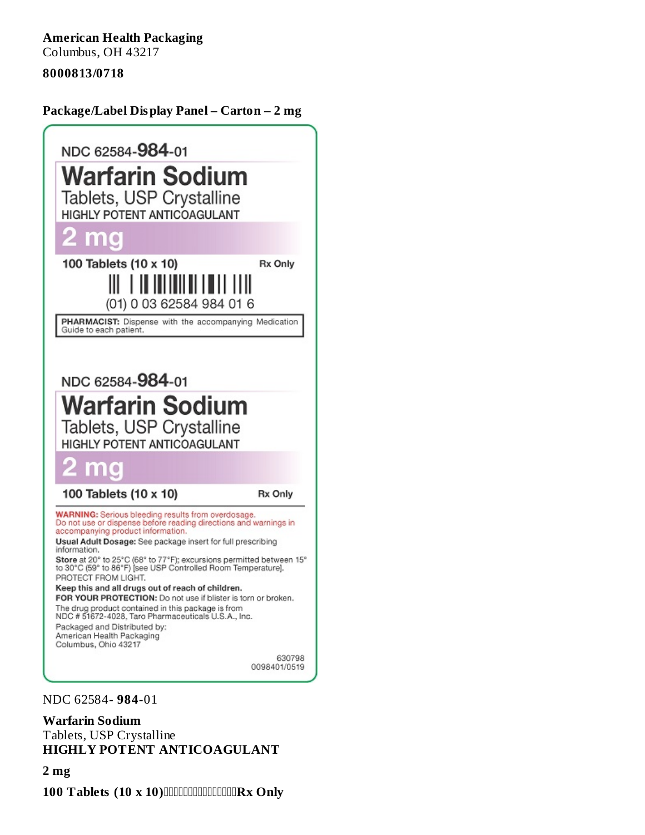**American Health Packaging** Columbus, OH 43217

#### **8000813/0718**

**Package/Label Display Panel – Carton – 2 mg**



NDC 62584- **984**-01

#### **Warfarin Sodium**

Tablets, USP Crystalline **HIGHLY POTENT ANTICOAGULANT**

**2 mg**

 $100$  Tablets  $(10 \times 10)$  **CONCORDING THE SURVAY**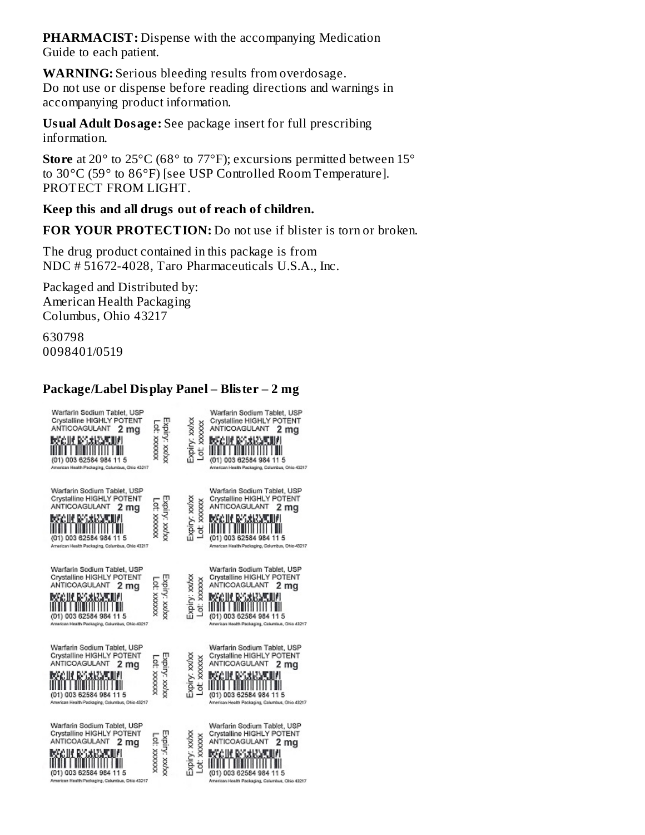**PHARMACIST:** Dispense with the accompanying Medication Guide to each patient.

**WARNING:** Serious bleeding results from overdosage. Do not use or dispense before reading directions and warnings in accompanying product information.

**Usual Adult Dosage:** See package insert for full prescribing information.

**Store** at 20° to 25°C (68° to 77°F); excursions permitted between 15° to 30°C (59° to 86°F) [see USP Controlled Room Temperature]. PROTECT FROM LIGHT.

#### **Keep this and all drugs out of reach of children.**

**FOR YOUR PROTECTION:** Do not use if blister is torn or broken.

The drug product contained in this package is from NDC # 51672-4028, Taro Pharmaceuticals U.S.A., Inc.

Packaged and Distributed by: American Health Packaging Columbus, Ohio 43217

630798 0098401/0519

#### **Package/Label Display Panel – Blister – 2 mg**

| Warfarin Sodium Tablet, USP<br>Crystalline HIGHLY POTENT<br>ANTICOAGULANT<br>2 mq<br>DSCIP RASISMU<br>(01) 003 62584 984 11 5<br>American Health Packaging, Columbus, Ohio 43217    | Expiry: xx/xx<br>AXXXXX :10. | Expiry: xxvx<br>XXXXXX<br>ğ  | Warfarin Sodium Tablet, USP<br>Crystalline HIGHLY POTENT<br>ANTICOAGULANT<br>2 mg<br>RGC III RASANAN<br>(01) 003 62584 984 11 5<br>American Health Packaging, Columbus, Ohio 43217         |
|-------------------------------------------------------------------------------------------------------------------------------------------------------------------------------------|------------------------------|------------------------------|--------------------------------------------------------------------------------------------------------------------------------------------------------------------------------------------|
| Warfarin Sodium Tablet, USP<br>Crystalline HIGHLY POTENT<br>ANTICOAGULANT<br>2 ma<br>Marie Barriott<br>(01) 003 62584 984 11 5<br>American Health Packaging, Columbus, Ohio 43217   | EXDITY: XXVXX<br>XXXXXX 10   | Expiry: xx/x<br>Lot: xxxxxx  | Warfarin Sodium Tablet, USP<br>Crystalline HIGHLY POTENT<br>ANTICOAGULANT<br>2 ma<br><b>MAGUA BARKAN</b><br>(01) 003 62584 984 11 5<br>American Health Packaging, Columbus, Ohio 43217     |
| Warfarin Sodium Tablet, USP<br>Crystalline HIGHLY POTENT<br>ANTICOAGULANT<br>2 mq<br>MAGIIL RASSINATI<br>(01) 003 62584 984 11 5<br>Arsencan Health Packaging, Columbus, Ohio 43217 | Expiry: xx/xx<br>AXXXXX 10.  | Expiry: xx/xx<br>Lot: xxxxx  | Warfarin Sodium Tablet, USP<br>Crystalline HIGHLY POTENT<br>ANTICOAGULANT<br>2 mq<br>MGIR ROXKM<br>(01) 003 62584 984 11 5<br>American Health Packaging, Columbus, Ohio 43217              |
| Warfarin Sodium Tablet, USP<br>Crystalline HIGHLY POTENT<br>ANTICOAGULANT<br>2 mg<br>e lie Roskiem<br>(01) 003 62584 984 11 5<br>American Health Packaging, Columbus, Ohio 43217    | Expiry: xx/xx<br>COL XXXXXX  | Expiry: xx/xx<br>Lot: xxxxxx | Warfarin Sodium Tablet, USP<br>Crystalline HIGHLY POTENT<br>ANTICOAGULANT<br>2 mg<br>MGULENGARM<br>(01) 003 62584 984 11 5<br>American Health Packaging, Columbus, Ohio 43217              |
| Warfarin Sodium Tablet, USP<br>Crystalline HIGHLY POTENT<br>ANTICOAGULANT<br>2 mg<br>MGC IN BESANCY<br>(01) 003 62584 984 11 5<br>American Health Packaging, Columbus, Otio 43217   | Expiry: xx/xx<br>CC XXXXX    | Expiry: xx/xx<br>Lot: xxxxxx | Warfarin Sodium Tablet, USP<br>Crystalline HIGHLY POTENT<br>ANTICOAGULANT<br>2 mg<br><b>MGC III BASANGAN</b><br>(01) 003 62584 984 11 5<br>American Health Packaging, Columbus, Ohio 43217 |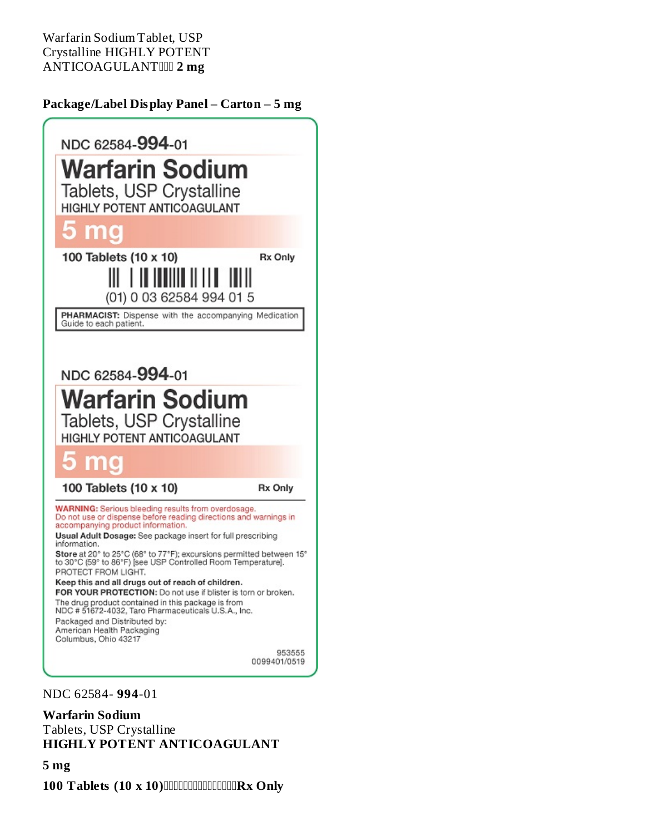Warfarin Sodium Tablet, USP Crystalline HIGHLY POTENT ANTICOAGULANT **2 mg**

#### **Package/Label Display Panel – Carton – 5 mg**



NDC 62584- **994**-01

#### **Warfarin Sodium**

Tablets, USP Crystalline **HIGHLY POTENT ANTICOAGULANT**

#### **5 mg**

**100 Tablets (10 x 10) CONCONCONCORX Only**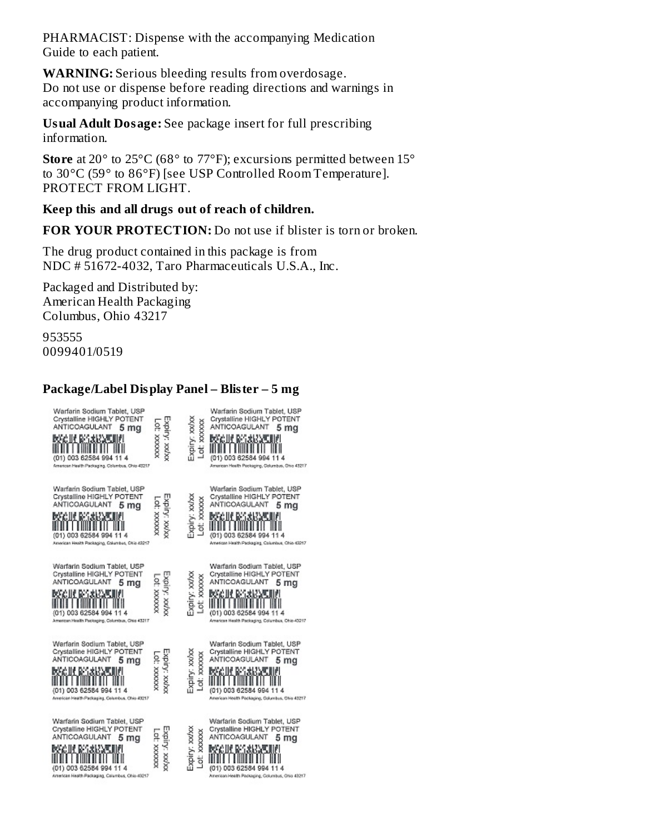PHARMACIST: Dispense with the accompanying Medication Guide to each patient.

**WARNING:** Serious bleeding results from overdosage. Do not use or dispense before reading directions and warnings in accompanying product information.

**Usual Adult Dosage:** See package insert for full prescribing information.

**Store** at 20° to 25°C (68° to 77°F); excursions permitted between 15° to 30°C (59° to 86°F) [see USP Controlled Room Temperature]. PROTECT FROM LIGHT.

#### **Keep this and all drugs out of reach of children.**

**FOR YOUR PROTECTION:** Do not use if blister is torn or broken.

The drug product contained in this package is from NDC # 51672-4032, Taro Pharmaceuticals U.S.A., Inc.

Packaged and Distributed by: American Health Packaging Columbus, Ohio 43217

953555 0099401/0519

#### **Package/Label Display Panel – Blister – 5 mg**

| Warfarin Sodium Tablet, USP<br>Crystalline HIGHLY POTENT<br>ANTICOAGULANT<br>5 mg<br>MGC IN BASANCAN<br>(01) 003 62584 994 11 4<br>American Health Packaging, Columbus, Chio 43217 | Expiry: xx/xx<br>XXXXXXX 10  | XXXXXX<br>Expiry: xxv<br>ď   | Warfarin Sodium Tablet, USP<br>Crystalline HIGHLY POTENT<br>ANTICOAGULANT<br>5 ma<br><b>DOG HE BESINARE HEL</b><br>(01) 003 62584 994 11 4<br>American Health Packaging, Columbus, Ohio 43217 |
|------------------------------------------------------------------------------------------------------------------------------------------------------------------------------------|------------------------------|------------------------------|-----------------------------------------------------------------------------------------------------------------------------------------------------------------------------------------------|
| Warfarin Sodium Tablet, USP<br>Crystalline HIGHLY POTENT<br>ANTICOAGULANT<br>5 ma<br>MGIR MSARAK<br>(01) 003 62584 994 11 4<br>American Health Packaging, Columbus, Ohio 43217     | Expiry: XXVXX<br>-01: XXXXXX | Expiry: xx/xx<br>Lot: xxxxxx | Warfarin Sodium Tablet, USP<br>Crystalline HIGHLY POTENT<br>ANTICOAGULANT<br>5 mg<br>MGIR ROSSE<br>(01) 003 62584 994 11 4<br>American Health Packaging, Columbus, Ohio 43217                 |
| Warfarin Sodium Tablet, USP<br>Crystalline HIGHLY POTENT<br>ANTICOAGULANT<br>5 mg<br>MANIFERSANAK<br>(01) 003 62584 994<br>114<br>American Health Packaging, Columbus, Chio 43217  | XXIXX : YXIXX<br>XXXXXX 10   | Expiry: xx/xx<br>Lot xxxxx   | Warfarin Sodium Tablet, USP<br>Crystalline HIGHLY POTENT<br>ANTICOAGULANT<br>5 mg<br>KACIN BARKANI<br>(01) 003 62584 994 11 4<br>American Health Packaging, Columbus, Ohio 43217              |
| Warfarin Sodium Tablet, USP<br>Crystalline HIGHLY POTENT<br>ANTICOAGULANT<br>5 mg<br>BSGIR BAXRAT<br>(01) 003 62584 994 11 4<br>American Health Packaging, Columbus, Ohio 43217    | Expiry: xx/xx<br>10. XXXXXX  | Expiry: xx/xx<br>Lot: xxxxxx | Warfarin Sodium Tablet, USP<br>Crystalline HIGHLY POTENT<br>ANTICOAGULANT<br>5 mg<br>RGC III BELSKOPE<br>(01) 003 62584 994 11 4<br>American Health Packaging, Columbus, Ohio 43217           |
| Warfarin Sodium Tablet, USP<br>Crystalline HIGHLY POTENT<br>ANTICOAGULANT<br>5 mq<br>MACIN REGISSARI<br>(01) 003 62584 994 11 4<br>American Health Packaging, Calumbus, Ohio 43217 | Expiry: xx/xx<br>LOC XXXXXX  | Expiry: xx/x<br>Lot: xxxxxx  | Warfarin Sodium Tablet, USP<br>Crystalline HIGHLY POTENT<br>ANTICOAGULANT<br>5 mg<br>MECHERSARNE<br>(01) 003 62584 994 11 4<br>American Health Packaging, Columbus, Ohio 43217                |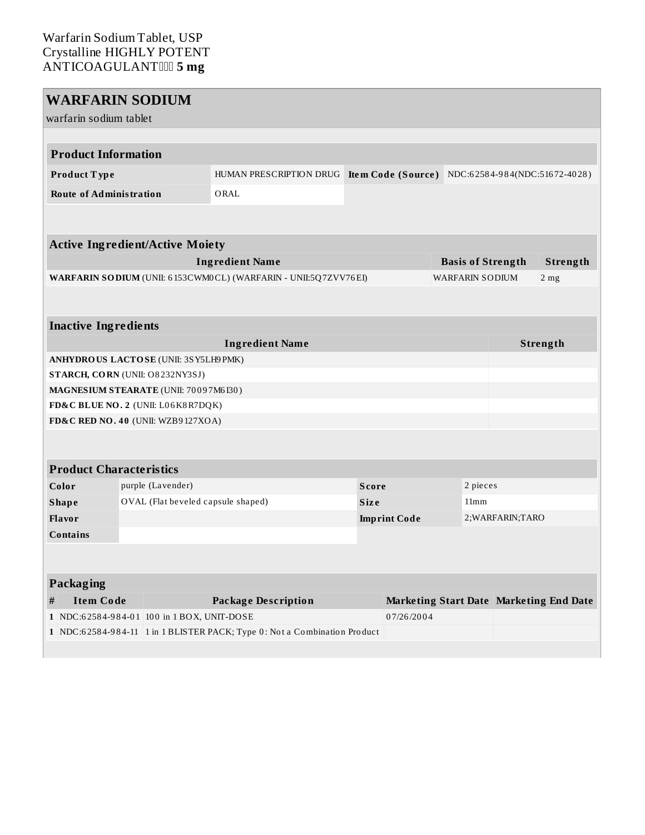#### Warfarin Sodium Tablet, USP Crystalline HIGHLY POTENT ANTICOAGULANT **5 mg**

| <b>WARFARIN SODIUM</b>          |                                            |                                                                           |              |                     |                        |          |                          |                                                  |
|---------------------------------|--------------------------------------------|---------------------------------------------------------------------------|--------------|---------------------|------------------------|----------|--------------------------|--------------------------------------------------|
| warfarin sodium tablet          |                                            |                                                                           |              |                     |                        |          |                          |                                                  |
|                                 |                                            |                                                                           |              |                     |                        |          |                          |                                                  |
| <b>Product Information</b>      |                                            |                                                                           |              |                     |                        |          |                          |                                                  |
| Product Type                    |                                            | HUMAN PRESCRIPTION DRUG                                                   |              |                     |                        |          |                          | Item Code (Source) NDC:62584-984(NDC:51672-4028) |
| <b>Route of Administration</b>  |                                            | ORAL                                                                      |              |                     |                        |          |                          |                                                  |
|                                 |                                            |                                                                           |              |                     |                        |          |                          |                                                  |
|                                 | <b>Active Ingredient/Active Moiety</b>     |                                                                           |              |                     |                        |          |                          |                                                  |
|                                 |                                            | <b>Ingredient Name</b>                                                    |              |                     |                        |          | <b>Basis of Strength</b> | Strength                                         |
|                                 |                                            | WARFARIN SODIUM (UNII: 6153CWM0CL) (WARFARIN - UNII:5Q7ZVV76EI)           |              |                     | <b>WARFARIN SODIUM</b> |          |                          | 2 <sub>mg</sub>                                  |
|                                 |                                            |                                                                           |              |                     |                        |          |                          |                                                  |
|                                 |                                            |                                                                           |              |                     |                        |          |                          |                                                  |
| <b>Inactive Ingredients</b>     |                                            |                                                                           |              |                     |                        |          |                          |                                                  |
|                                 |                                            | <b>Ingredient Name</b>                                                    |              |                     |                        |          |                          | Strength                                         |
|                                 | ANHYDROUS LACTOSE (UNII: 3SY5LH9 PMK)      |                                                                           |              |                     |                        |          |                          |                                                  |
| STARCH, CORN (UNII: O8232NY3SJ) |                                            |                                                                           |              |                     |                        |          |                          |                                                  |
|                                 | MAGNESIUM STEARATE (UNII: 70097M6I30)      |                                                                           |              |                     |                        |          |                          |                                                  |
|                                 | FD&C BLUE NO. 2 (UNII: L06K8R7DQK)         |                                                                           |              |                     |                        |          |                          |                                                  |
|                                 | FD&C RED NO. 40 (UNII: WZB9127XOA)         |                                                                           |              |                     |                        |          |                          |                                                  |
|                                 |                                            |                                                                           |              |                     |                        |          |                          |                                                  |
| <b>Product Characteristics</b>  |                                            |                                                                           |              |                     |                        |          |                          |                                                  |
| Color                           | purple (Lavender)                          |                                                                           | <b>Score</b> |                     |                        | 2 pieces |                          |                                                  |
| <b>Shape</b>                    | OVAL (Flat beveled capsule shaped)         |                                                                           | <b>Size</b>  |                     |                        | 11mm     |                          |                                                  |
| Flavor                          |                                            |                                                                           |              | <b>Imprint Code</b> |                        |          | 2; WARFARIN; TARO        |                                                  |
| <b>Contains</b>                 |                                            |                                                                           |              |                     |                        |          |                          |                                                  |
|                                 |                                            |                                                                           |              |                     |                        |          |                          |                                                  |
|                                 |                                            |                                                                           |              |                     |                        |          |                          |                                                  |
| Packaging                       |                                            |                                                                           |              |                     |                        |          |                          |                                                  |
| <b>Item Code</b><br>#           |                                            | <b>Package Description</b>                                                |              |                     |                        |          |                          | Marketing Start Date Marketing End Date          |
|                                 | 1 NDC:62584-984-01 100 in 1 BOX, UNIT-DOSE |                                                                           |              | 07/26/2004          |                        |          |                          |                                                  |
|                                 |                                            | 1 NDC:62584-984-11 1 in 1 BLISTER PACK; Type 0: Not a Combination Product |              |                     |                        |          |                          |                                                  |
|                                 |                                            |                                                                           |              |                     |                        |          |                          |                                                  |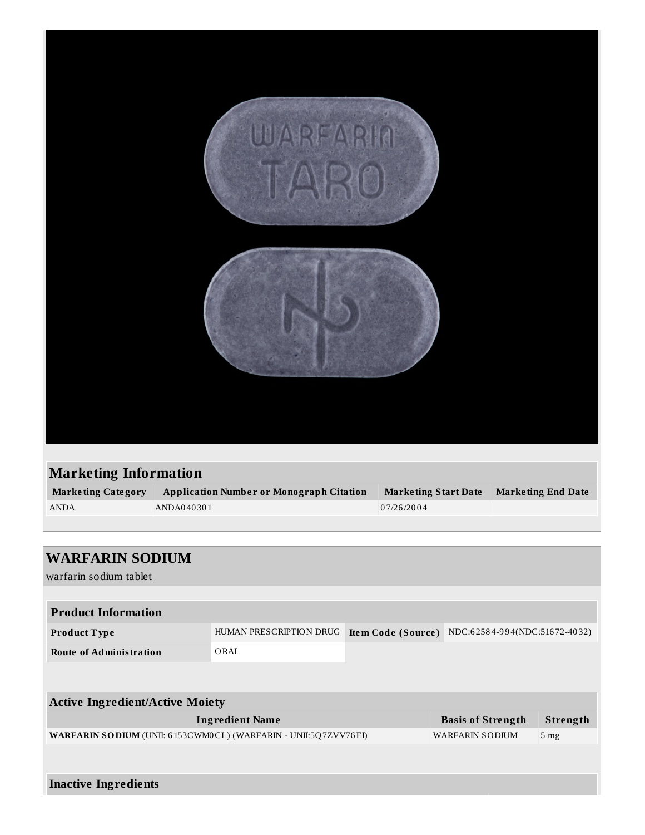|                           | WARFARIN                                        |                             |                           |  |  |
|---------------------------|-------------------------------------------------|-----------------------------|---------------------------|--|--|
|                           |                                                 |                             |                           |  |  |
|                           | <b>Marketing Information</b>                    |                             |                           |  |  |
| <b>Marketing Category</b> | <b>Application Number or Monograph Citation</b> | <b>Marketing Start Date</b> | <b>Marketing End Date</b> |  |  |
| <b>ANDA</b>               | ANDA040301                                      | 07/26/2004                  |                           |  |  |
|                           |                                                 |                             |                           |  |  |

| <b>WARFARIN SODIUM</b>                                                  |                         |                    |                               |                 |
|-------------------------------------------------------------------------|-------------------------|--------------------|-------------------------------|-----------------|
| warfarin sodium tablet                                                  |                         |                    |                               |                 |
|                                                                         |                         |                    |                               |                 |
| <b>Product Information</b>                                              |                         |                    |                               |                 |
| <b>Product Type</b>                                                     | HUMAN PRESCRIPTION DRUG | Item Code (Source) | NDC:62584-994(NDC:51672-4032) |                 |
| <b>Route of Administration</b>                                          | ORAL                    |                    |                               |                 |
|                                                                         |                         |                    |                               |                 |
| <b>Active Ingredient/Active Moiety</b>                                  |                         |                    |                               |                 |
|                                                                         | <b>Ingredient Name</b>  |                    | <b>Basis of Strength</b>      | Strength        |
| <b>WARFARIN SO DIUM (UNII: 6153CWM0CL) (WARFARIN - UNII:5Q7ZVV76EI)</b> |                         |                    | <b>WARFARIN SODIUM</b>        | 5 <sub>mg</sub> |
|                                                                         |                         |                    |                               |                 |
|                                                                         |                         |                    |                               |                 |
| <b>Inactive Ingredients</b>                                             |                         |                    |                               |                 |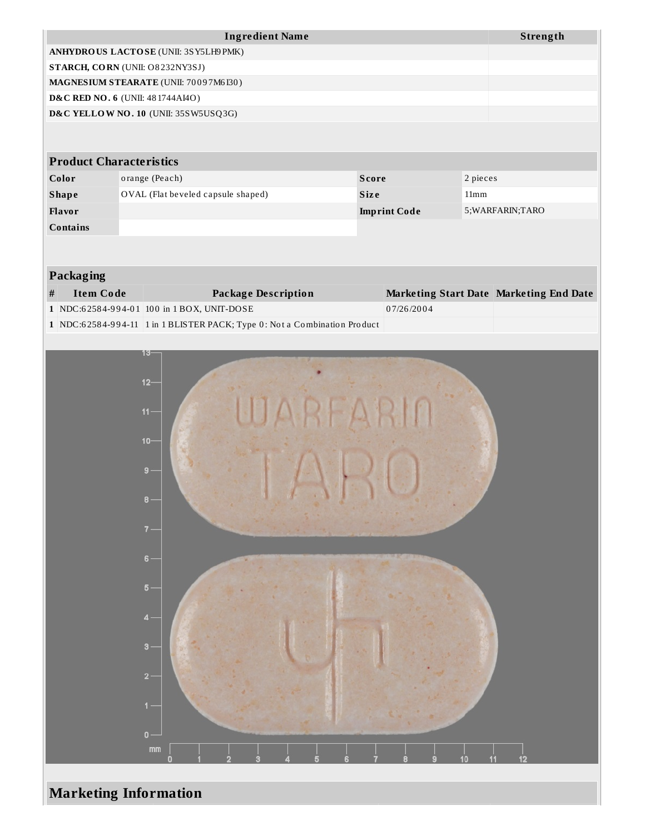|                                | <b>Ingredient Name</b>                      |                     | Strength          |  |  |  |
|--------------------------------|---------------------------------------------|---------------------|-------------------|--|--|--|
|                                | ANHYDROUS LACTOSE (UNII: 3SY5LH9PMK)        |                     |                   |  |  |  |
|                                | STARCH, CORN (UNII: O8232NY3SJ)             |                     |                   |  |  |  |
|                                | MAGNESIUM STEARATE (UNII: 70097M6I30)       |                     |                   |  |  |  |
|                                | <b>D&amp;C RED NO. 6 (UNII: 481744AI4O)</b> |                     |                   |  |  |  |
|                                | D&C YELLOW NO. 10 (UNII: 35SW5USQ3G)        |                     |                   |  |  |  |
|                                |                                             |                     |                   |  |  |  |
| <b>Product Characteristics</b> |                                             |                     |                   |  |  |  |
| Color                          | orange (Peach)                              | <b>Score</b>        | 2 pieces          |  |  |  |
| <b>Shape</b>                   | OVAL (Flat beveled capsule shaped)          | <b>Size</b>         | 11mm              |  |  |  |
| <b>Flavor</b>                  |                                             | <b>Imprint Code</b> | 5; WARFARIN; TARO |  |  |  |
| <b>Contains</b>                |                                             |                     |                   |  |  |  |
|                                |                                             |                     |                   |  |  |  |

#### **Packaging**

| # | Item Code | Package Description                                                       | Marketing Start Date Marketing End Date |  |
|---|-----------|---------------------------------------------------------------------------|-----------------------------------------|--|
|   |           | 1 NDC:62584-994-01 100 in 1 BOX, UNIT-DOSE                                | 07/26/2004                              |  |
|   |           | 1 NDC:62584-994-11 1 in 1 BLISTER PACK; Type 0: Not a Combination Product |                                         |  |